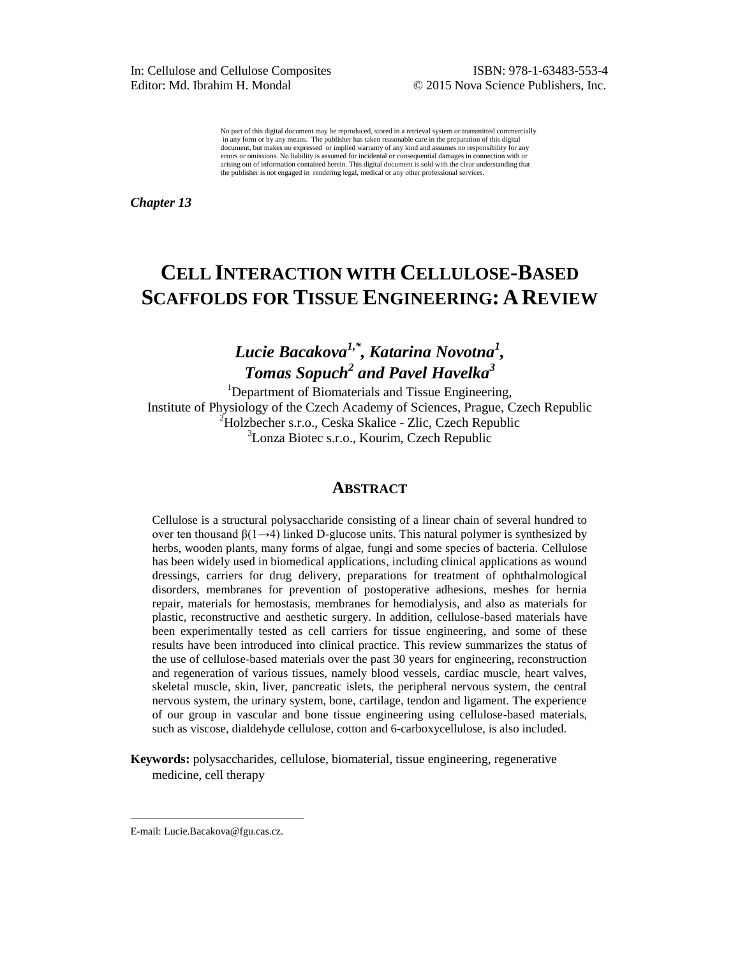No part of this digital document may be reproduced, stored in a retrieval system or transmitted commercially in any form or by any means. The publisher has taken reasonable care in the preparation of this digital document, but makes no expressed or implied warranty of any kind and assumes no responsibility for any errors or omissions. No liability is assumed for incidental or consequential damages in connection with or arising out of information contained herein. This digital document is sold with the clear understanding that the publisher is not engaged in rendering legal, medical or any other professional services.

*Chapter 13* 

# **CELL INTERACTION WITH CELLULOSE-BASED SCAFFOLDS FOR TISSUE ENGINEERING: A REVIEW**

# *Lucie Bacakova1,\* , Katarina Novotna<sup>1</sup> , Tomas Sopuch<sup>2</sup> and Pavel Havelka<sup>3</sup>*

<sup>1</sup>Department of Biomaterials and Tissue Engineering, Institute of Physiology of the Czech Academy of Sciences, Prague, Czech Republic <sup>2</sup>Holzbecher s.r.o., Ceska Skalice - Zlic, Czech Republic <sup>3</sup>Lonza Biotec s.r.o., Kourim, Czech Republic

# **ABSTRACT**

Cellulose is a structural polysaccharide consisting of a linear chain of several hundred to over ten thousand  $β(1→4)$  linked D-glucose units. This natural polymer is synthesized by herbs, wooden plants, many forms of algae, fungi and some species of bacteria. Cellulose has been widely used in biomedical applications, including clinical applications as wound dressings, carriers for drug delivery, preparations for treatment of ophthalmological disorders, membranes for prevention of postoperative adhesions, meshes for hernia repair, materials for hemostasis, membranes for hemodialysis, and also as materials for plastic, reconstructive and aesthetic surgery. In addition, cellulose-based materials have been experimentally tested as cell carriers for tissue engineering, and some of these results have been introduced into clinical practice. This review summarizes the status of the use of cellulose-based materials over the past 30 years for engineering, reconstruction and regeneration of various tissues, namely blood vessels, cardiac muscle, heart valves, skeletal muscle, skin, liver, pancreatic islets, the peripheral nervous system, the central nervous system, the urinary system, bone, cartilage, tendon and ligament. The experience of our group in vascular and bone tissue engineering using cellulose-based materials, such as viscose, dialdehyde cellulose, cotton and 6-carboxycellulose, is also included.

**Keywords:** polysaccharides, cellulose, biomaterial, tissue engineering, regenerative medicine, cell therapy

 $\overline{a}$ 

E-mail: Lucie.Bacakova@fgu.cas.cz.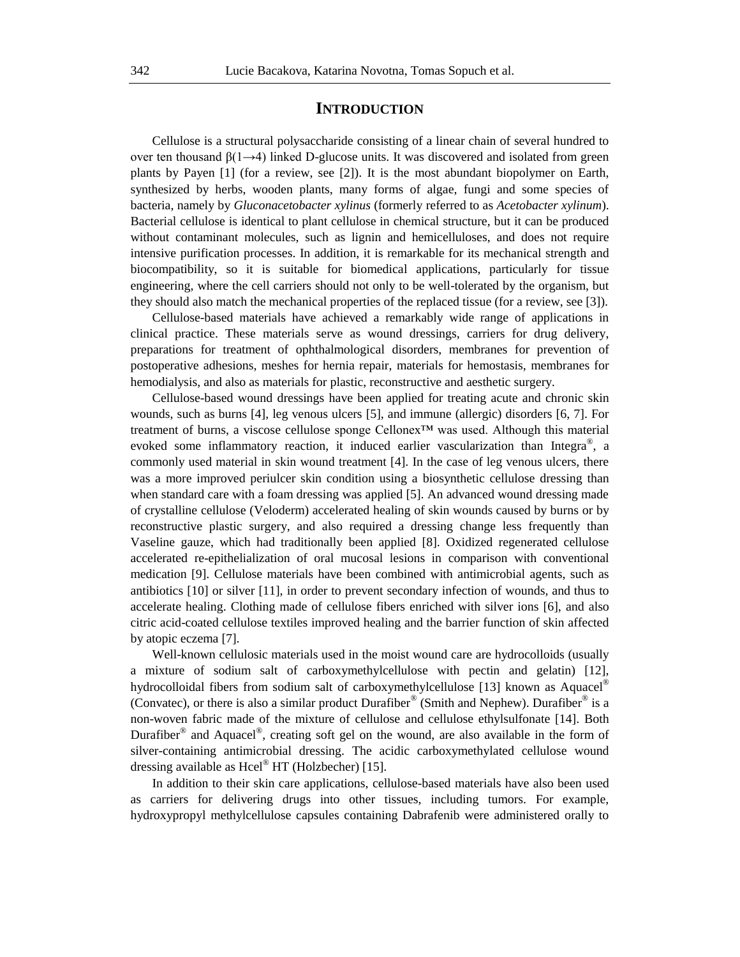### **INTRODUCTION**

Cellulose is a structural polysaccharide consisting of a linear chain of several hundred to over ten thousand  $\beta(1\rightarrow4)$  linked D-glucose units. It was discovered and isolated from green plants by Payen [1] (for a review, see [2]). It is the most abundant biopolymer on Earth, synthesized by herbs, wooden plants, many forms of algae, fungi and some species of bacteria, namely by *Gluconacetobacter xylinus* (formerly referred to as *Acetobacter xylinum*). Bacterial cellulose is identical to plant cellulose in chemical structure, but it can be produced without contaminant molecules, such as lignin and hemicelluloses, and does not require intensive purification processes. In addition, it is remarkable for its mechanical strength and biocompatibility, so it is suitable for biomedical applications, particularly for tissue engineering, where the cell carriers should not only to be well-tolerated by the organism, but they should also match the mechanical properties of the replaced tissue (for a review, see [3]).

Cellulose-based materials have achieved a remarkably wide range of applications in clinical practice. These materials serve as wound dressings, carriers for drug delivery, preparations for treatment of ophthalmological disorders, membranes for prevention of postoperative adhesions, meshes for hernia repair, materials for hemostasis, membranes for hemodialysis, and also as materials for plastic, reconstructive and aesthetic surgery.

Cellulose-based wound dressings have been applied for treating acute and chronic skin wounds, such as burns [4], leg venous ulcers [5], and immune (allergic) disorders [6, 7]. For treatment of burns, a viscose cellulose sponge Cellonex™ was used. Although this material evoked some inflammatory reaction, it induced earlier vascularization than Integra<sup>®</sup>, a commonly used material in skin wound treatment [4]. In the case of leg venous ulcers, there was a more improved periulcer skin condition using a biosynthetic cellulose dressing than when standard care with a foam dressing was applied [5]. An advanced wound dressing made of crystalline cellulose (Veloderm) accelerated healing of skin wounds caused by burns or by reconstructive plastic surgery, and also required a dressing change less frequently than Vaseline gauze, which had traditionally been applied [8]. Oxidized regenerated cellulose accelerated re-epithelialization of oral mucosal lesions in comparison with conventional medication [9]. Cellulose materials have been combined with antimicrobial agents, such as antibiotics [10] or silver [11], in order to prevent secondary infection of wounds, and thus to accelerate healing. Clothing made of cellulose fibers enriched with silver ions [6], and also citric acid-coated cellulose textiles improved healing and the barrier function of skin affected by atopic eczema [7].

Well-known cellulosic materials used in the moist wound care are hydrocolloids (usually a mixture of sodium salt of carboxymethylcellulose with pectin and gelatin) [12], hydrocolloidal fibers from sodium salt of carboxymethylcellulose [13] known as Aquacel<sup>®</sup> (Convatec), or there is also a similar product Durafiber<sup>®</sup> (Smith and Nephew). Durafiber<sup>®</sup> is a non-woven fabric made of the mixture of cellulose and cellulose ethylsulfonate [14]. Both Durafiber<sup>®</sup> and Aquacel<sup>®</sup>, creating soft gel on the wound, are also available in the form of silver-containing antimicrobial dressing. The acidic carboxymethylated cellulose wound dressing available as  $Hcel^{\circledR}$  HT (Holzbecher) [15].

In addition to their skin care applications, cellulose-based materials have also been used as carriers for delivering drugs into other tissues, including tumors. For example, hydroxypropyl methylcellulose capsules containing Dabrafenib were administered orally to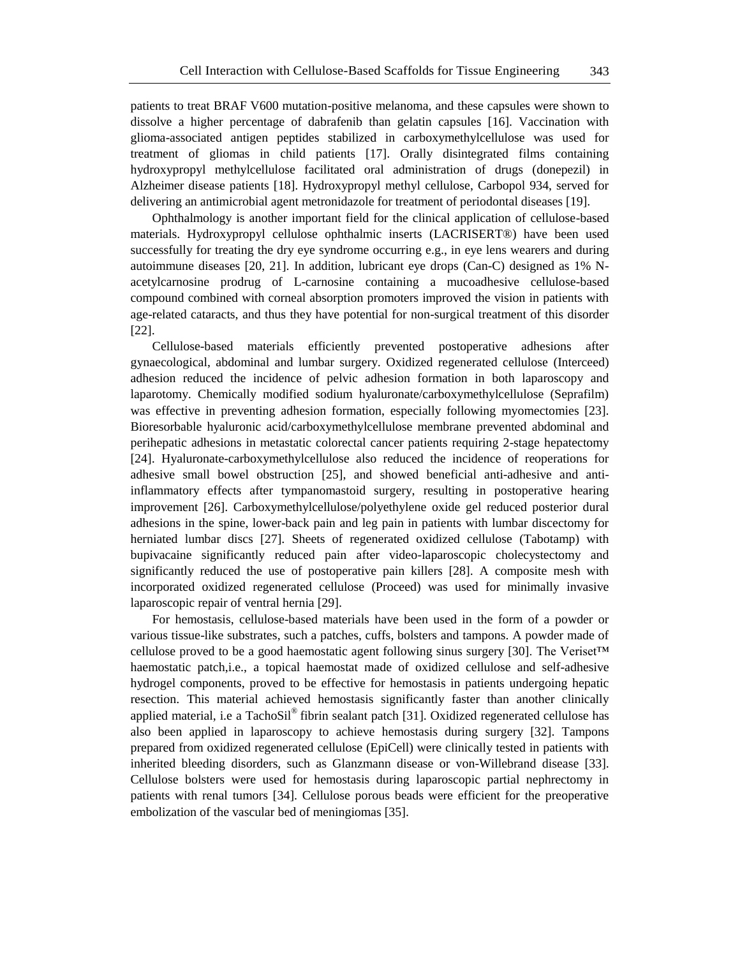patients to treat BRAF V600 mutation-positive melanoma, and these capsules were shown to dissolve a higher percentage of dabrafenib than gelatin capsules [16]. Vaccination with glioma-associated antigen peptides stabilized in carboxymethylcellulose was used for treatment of gliomas in child patients [17]. Orally disintegrated films containing hydroxypropyl methylcellulose facilitated oral administration of drugs (donepezil) in Alzheimer disease patients [18]. Hydroxypropyl methyl cellulose, Carbopol 934, served for delivering an antimicrobial agent metronidazole for treatment of periodontal diseases [19].

Ophthalmology is another important field for the clinical application of cellulose-based materials. Hydroxypropyl cellulose ophthalmic inserts (LACRISERT®) have been used successfully for treating the dry eye syndrome occurring e.g., in eye lens wearers and during autoimmune diseases [20, 21]. In addition, lubricant eye drops (Can-C) designed as 1% Nacetylcarnosine prodrug of L-carnosine containing a mucoadhesive cellulose-based compound combined with corneal absorption promoters improved the vision in patients with age-related cataracts, and thus they have potential for non-surgical treatment of this disorder [22].

Cellulose-based materials efficiently prevented postoperative adhesions after gynaecological, abdominal and lumbar surgery. Oxidized regenerated cellulose (Interceed) adhesion reduced the incidence of pelvic adhesion formation in both laparoscopy and laparotomy. Chemically modified sodium hyaluronate/carboxymethylcellulose (Seprafilm) was effective in preventing adhesion formation, especially following myomectomies [23]. Bioresorbable hyaluronic acid/carboxymethylcellulose membrane prevented abdominal and perihepatic adhesions in metastatic colorectal cancer patients requiring 2-stage hepatectomy [24]. Hyaluronate-carboxymethylcellulose also reduced the incidence of reoperations for adhesive small bowel obstruction [25], and showed beneficial anti-adhesive and antiinflammatory effects after tympanomastoid surgery, resulting in postoperative hearing improvement [26]. Carboxymethylcellulose/polyethylene oxide gel reduced posterior dural adhesions in the spine, lower-back pain and leg pain in patients with lumbar discectomy for herniated lumbar discs [27]. Sheets of regenerated oxidized cellulose (Tabotamp) with bupivacaine significantly reduced pain after video-laparoscopic cholecystectomy and significantly reduced the use of postoperative pain killers [28]. A composite mesh with incorporated oxidized regenerated cellulose (Proceed) was used for minimally invasive laparoscopic repair of ventral hernia [29].

For hemostasis, cellulose-based materials have been used in the form of a powder or various tissue-like substrates, such a patches, cuffs, bolsters and tampons. A powder made of cellulose proved to be a good haemostatic agent following sinus surgery [30]. The Veriset™ haemostatic patch,i.e., a topical haemostat made of oxidized cellulose and self-adhesive hydrogel components, proved to be effective for hemostasis in patients undergoing hepatic resection. This material achieved hemostasis significantly faster than another clinically applied material, i.e a TachoSil<sup>®</sup> fibrin sealant patch [31]. Oxidized regenerated cellulose has also been applied in laparoscopy to achieve hemostasis during surgery [32]. Tampons prepared from oxidized regenerated cellulose (EpiCell) were clinically tested in patients with inherited bleeding disorders, such as Glanzmann disease or von-Willebrand disease [33]. Cellulose bolsters were used for hemostasis during laparoscopic partial nephrectomy in patients with renal tumors [34]. Cellulose porous beads were efficient for the preoperative embolization of the vascular bed of meningiomas [35].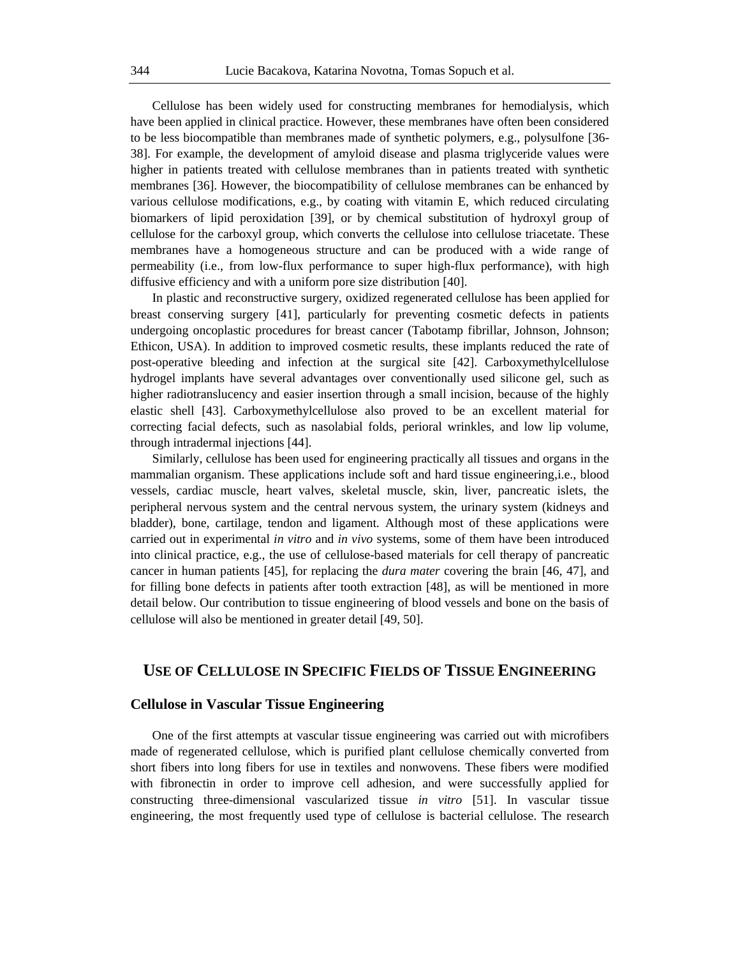Cellulose has been widely used for constructing membranes for hemodialysis, which have been applied in clinical practice. However, these membranes have often been considered to be less biocompatible than membranes made of synthetic polymers, e.g., polysulfone [36- 38]. For example, the development of amyloid disease and plasma triglyceride values were higher in patients treated with cellulose membranes than in patients treated with synthetic membranes [36]. However, the biocompatibility of cellulose membranes can be enhanced by various cellulose modifications, e.g., by coating with vitamin E, which reduced circulating biomarkers of lipid peroxidation [39], or by chemical substitution of hydroxyl group of cellulose for the carboxyl group, which converts the cellulose into cellulose triacetate. These membranes have a homogeneous structure and can be produced with a wide range of permeability (i.e., from low-flux performance to super high-flux performance), with high diffusive efficiency and with a uniform pore size distribution [40].

In plastic and reconstructive surgery, oxidized regenerated cellulose has been applied for breast conserving surgery [41], particularly for preventing cosmetic defects in patients undergoing oncoplastic procedures for breast cancer (Tabotamp fibrillar, Johnson, Johnson; Ethicon, USA). In addition to improved cosmetic results, these implants reduced the rate of post-operative bleeding and infection at the surgical site [42]. Carboxymethylcellulose hydrogel implants have several advantages over conventionally used silicone gel, such as higher radiotranslucency and easier insertion through a small incision, because of the highly elastic shell [43]. Carboxymethylcellulose also proved to be an excellent material for correcting facial defects, such as nasolabial folds, perioral wrinkles, and low lip volume, through intradermal injections [44].

Similarly, cellulose has been used for engineering practically all tissues and organs in the mammalian organism. These applications include soft and hard tissue engineering,i.e., blood vessels, cardiac muscle, heart valves, skeletal muscle, skin, liver, pancreatic islets, the peripheral nervous system and the central nervous system, the urinary system (kidneys and bladder), bone, cartilage, tendon and ligament. Although most of these applications were carried out in experimental *in vitro* and *in vivo* systems, some of them have been introduced into clinical practice, e.g., the use of cellulose-based materials for cell therapy of pancreatic cancer in human patients [45], for replacing the *dura mater* covering the brain [46, 47], and for filling bone defects in patients after tooth extraction [48], as will be mentioned in more detail below. Our contribution to tissue engineering of blood vessels and bone on the basis of cellulose will also be mentioned in greater detail [49, 50].

# **USE OF CELLULOSE IN SPECIFIC FIELDS OF TISSUE ENGINEERING**

## **Cellulose in Vascular Tissue Engineering**

One of the first attempts at vascular tissue engineering was carried out with microfibers made of regenerated cellulose, which is purified plant cellulose chemically converted from short fibers into long fibers for use in textiles and nonwovens. These fibers were modified with fibronectin in order to improve cell adhesion, and were successfully applied for constructing three-dimensional vascularized tissue *in vitro* [51]. In vascular tissue engineering, the most frequently used type of cellulose is bacterial cellulose. The research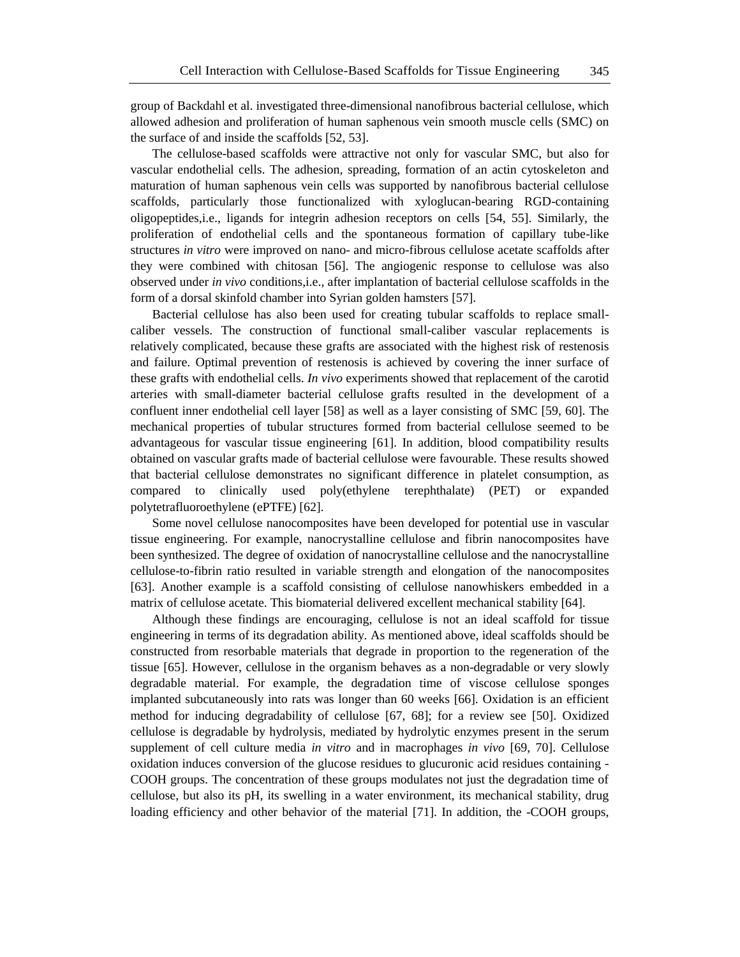group of Backdahl et al. investigated three-dimensional nanofibrous bacterial cellulose, which allowed adhesion and proliferation of human saphenous vein smooth muscle cells (SMC) on the surface of and inside the scaffolds [52, 53].

The cellulose-based scaffolds were attractive not only for vascular SMC, but also for vascular endothelial cells. The adhesion, spreading, formation of an actin cytoskeleton and maturation of human saphenous vein cells was supported by nanofibrous bacterial cellulose scaffolds, particularly those functionalized with xyloglucan-bearing RGD-containing oligopeptides,i.e., ligands for integrin adhesion receptors on cells [54, 55]. Similarly, the proliferation of endothelial cells and the spontaneous formation of capillary tube-like structures *in vitro* were improved on nano- and micro-fibrous cellulose acetate scaffolds after they were combined with chitosan [56]. The angiogenic response to cellulose was also observed under *in vivo* conditions,i.e., after implantation of bacterial cellulose scaffolds in the form of a dorsal skinfold chamber into Syrian golden hamsters [57].

Bacterial cellulose has also been used for creating tubular scaffolds to replace smallcaliber vessels. The construction of functional small-caliber vascular replacements is relatively complicated, because these grafts are associated with the highest risk of restenosis and failure. Optimal prevention of restenosis is achieved by covering the inner surface of these grafts with endothelial cells. *In vivo* experiments showed that replacement of the carotid arteries with small-diameter bacterial cellulose grafts resulted in the development of a confluent inner endothelial cell layer [58] as well as a layer consisting of SMC [59, 60]. The mechanical properties of tubular structures formed from bacterial cellulose seemed to be advantageous for vascular tissue engineering [61]. In addition, blood compatibility results obtained on vascular grafts made of bacterial cellulose were favourable. These results showed that bacterial cellulose demonstrates no significant difference in platelet consumption, as compared to clinically used poly(ethylene terephthalate) (PET) or expanded polytetrafluoroethylene (ePTFE) [62].

Some novel cellulose nanocomposites have been developed for potential use in vascular tissue engineering. For example, nanocrystalline cellulose and fibrin nanocomposites have been synthesized. The degree of oxidation of nanocrystalline cellulose and the nanocrystalline cellulose-to-fibrin ratio resulted in variable strength and elongation of the nanocomposites [63]. Another example is a scaffold consisting of cellulose nanowhiskers embedded in a matrix of cellulose acetate. This biomaterial delivered excellent mechanical stability [64].

Although these findings are encouraging, cellulose is not an ideal scaffold for tissue engineering in terms of its degradation ability. As mentioned above, ideal scaffolds should be constructed from resorbable materials that degrade in proportion to the regeneration of the tissue [65]. However, cellulose in the organism behaves as a non-degradable or very slowly degradable material. For example, the degradation time of viscose cellulose sponges implanted subcutaneously into rats was longer than 60 weeks [66]. Oxidation is an efficient method for inducing degradability of cellulose [67, 68]; for a review see [50]. Oxidized cellulose is degradable by hydrolysis, mediated by hydrolytic enzymes present in the serum supplement of cell culture media *in vitro* and in macrophages *in vivo* [69, 70]. Cellulose oxidation induces conversion of the glucose residues to glucuronic acid residues containing - COOH groups. The concentration of these groups modulates not just the degradation time of cellulose, but also its pH, its swelling in a water environment, its mechanical stability, drug loading efficiency and other behavior of the material [71]. In addition, the -COOH groups,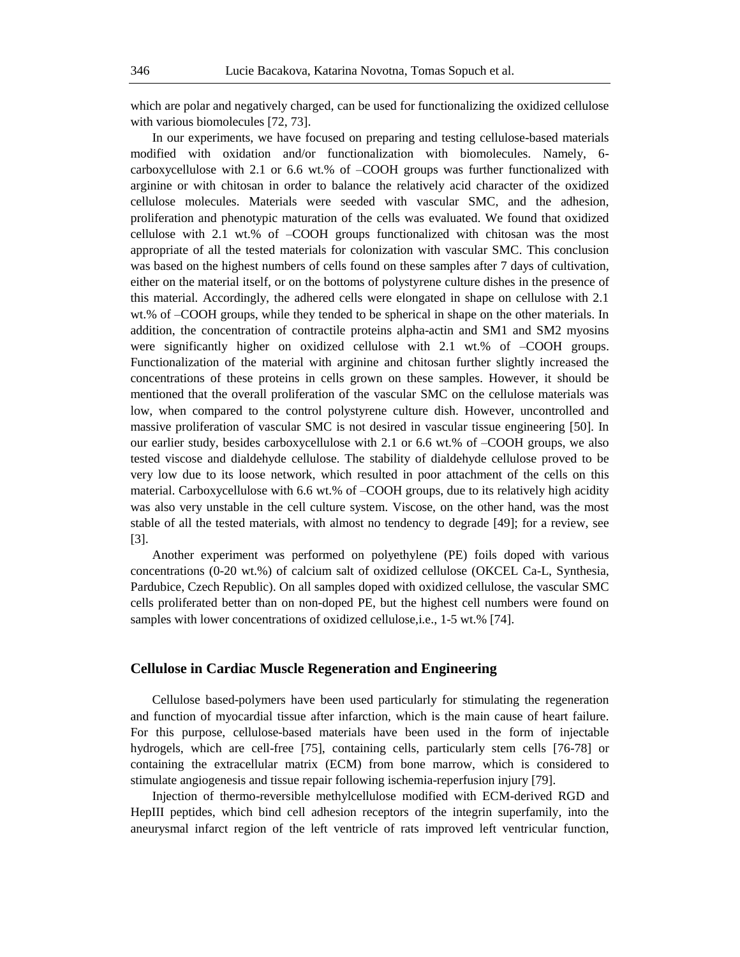which are polar and negatively charged, can be used for functionalizing the oxidized cellulose with various biomolecules [72, 73].

In our experiments, we have focused on preparing and testing cellulose-based materials modified with oxidation and/or functionalization with biomolecules. Namely, 6 carboxycellulose with 2.1 or 6.6 wt.% of –COOH groups was further functionalized with arginine or with chitosan in order to balance the relatively acid character of the oxidized cellulose molecules. Materials were seeded with vascular SMC, and the adhesion, proliferation and phenotypic maturation of the cells was evaluated. We found that oxidized cellulose with 2.1 wt.% of –COOH groups functionalized with chitosan was the most appropriate of all the tested materials for colonization with vascular SMC. This conclusion was based on the highest numbers of cells found on these samples after 7 days of cultivation, either on the material itself, or on the bottoms of polystyrene culture dishes in the presence of this material. Accordingly, the adhered cells were elongated in shape on cellulose with 2.1 wt.% of –COOH groups, while they tended to be spherical in shape on the other materials. In addition, the concentration of contractile proteins alpha-actin and SM1 and SM2 myosins were significantly higher on oxidized cellulose with 2.1 wt.% of –COOH groups. Functionalization of the material with arginine and chitosan further slightly increased the concentrations of these proteins in cells grown on these samples. However, it should be mentioned that the overall proliferation of the vascular SMC on the cellulose materials was low, when compared to the control polystyrene culture dish. However, uncontrolled and massive proliferation of vascular SMC is not desired in vascular tissue engineering [50]. In our earlier study, besides carboxycellulose with 2.1 or 6.6 wt.% of –COOH groups, we also tested viscose and dialdehyde cellulose. The stability of dialdehyde cellulose proved to be very low due to its loose network, which resulted in poor attachment of the cells on this material. Carboxycellulose with 6.6 wt.% of –COOH groups, due to its relatively high acidity was also very unstable in the cell culture system. Viscose, on the other hand, was the most stable of all the tested materials, with almost no tendency to degrade [49]; for a review, see [3].

Another experiment was performed on polyethylene (PE) foils doped with various concentrations (0-20 wt.%) of calcium salt of oxidized cellulose (OKCEL Ca-L, Synthesia, Pardubice, Czech Republic). On all samples doped with oxidized cellulose, the vascular SMC cells proliferated better than on non-doped PE, but the highest cell numbers were found on samples with lower concentrations of oxidized cellulose, i.e., 1-5 wt.% [74].

#### **Cellulose in Cardiac Muscle Regeneration and Engineering**

Cellulose based-polymers have been used particularly for stimulating the regeneration and function of myocardial tissue after infarction, which is the main cause of heart failure. For this purpose, cellulose-based materials have been used in the form of injectable hydrogels, which are cell-free [75], containing cells, particularly stem cells [76-78] or containing the extracellular matrix (ECM) from bone marrow, which is considered to stimulate angiogenesis and tissue repair following ischemia-reperfusion injury [79].

Injection of thermo-reversible methylcellulose modified with ECM-derived RGD and HepIII peptides, which bind cell adhesion receptors of the integrin superfamily, into the aneurysmal infarct region of the left ventricle of rats improved left ventricular function,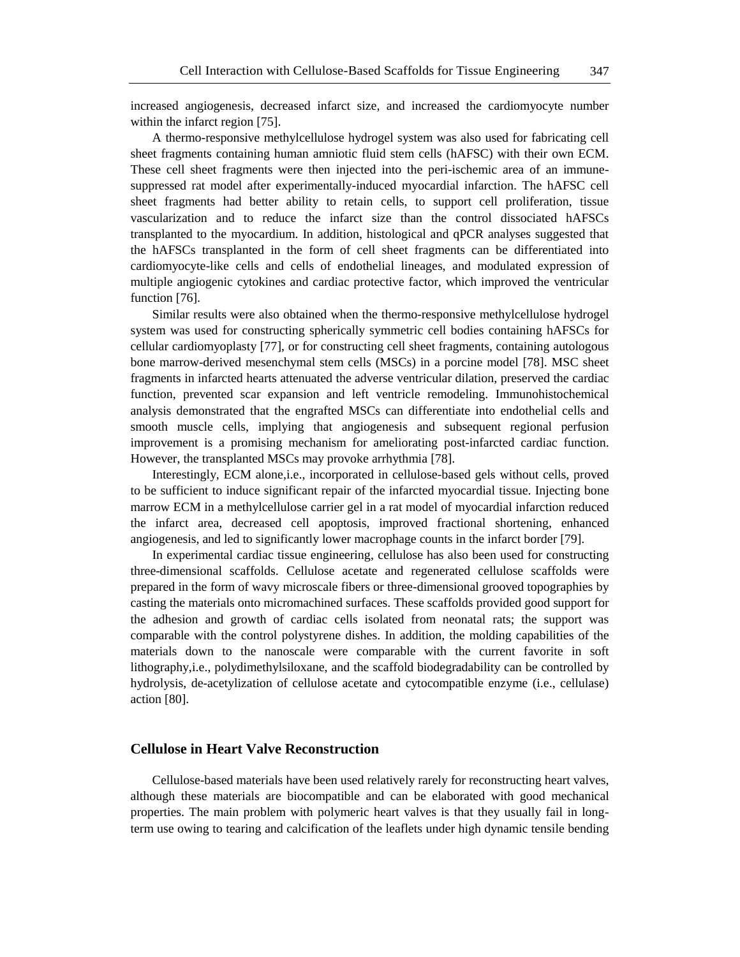increased angiogenesis, decreased infarct size, and increased the cardiomyocyte number within the infarct region [75].

A thermo-responsive methylcellulose hydrogel system was also used for fabricating cell sheet fragments containing human amniotic fluid stem cells (hAFSC) with their own ECM. These cell sheet fragments were then injected into the peri-ischemic area of an immunesuppressed rat model after experimentally-induced myocardial infarction. The hAFSC cell sheet fragments had better ability to retain cells, to support cell proliferation, tissue vascularization and to reduce the infarct size than the control dissociated hAFSCs transplanted to the myocardium. In addition, histological and qPCR analyses suggested that the hAFSCs transplanted in the form of cell sheet fragments can be differentiated into cardiomyocyte-like cells and cells of endothelial lineages, and modulated expression of multiple angiogenic cytokines and cardiac protective factor, which improved the ventricular function [76].

Similar results were also obtained when the thermo-responsive methylcellulose hydrogel system was used for constructing spherically symmetric cell bodies containing hAFSCs for cellular cardiomyoplasty [77], or for constructing cell sheet fragments, containing autologous bone marrow-derived mesenchymal stem cells (MSCs) in a porcine model [78]. MSC sheet fragments in infarcted hearts attenuated the adverse ventricular dilation, preserved the cardiac function, prevented scar expansion and left ventricle remodeling. Immunohistochemical analysis demonstrated that the engrafted MSCs can differentiate into endothelial cells and smooth muscle cells, implying that angiogenesis and subsequent regional perfusion improvement is a promising mechanism for ameliorating post-infarcted cardiac function. However, the transplanted MSCs may provoke arrhythmia [78].

Interestingly, ECM alone,i.e., incorporated in cellulose-based gels without cells, proved to be sufficient to induce significant repair of the infarcted myocardial tissue. Injecting bone marrow ECM in a methylcellulose carrier gel in a rat model of myocardial infarction reduced the infarct area, decreased cell apoptosis, improved fractional shortening, enhanced angiogenesis, and led to significantly lower macrophage counts in the infarct border [79].

In experimental cardiac tissue engineering, cellulose has also been used for constructing three-dimensional scaffolds. Cellulose acetate and regenerated cellulose scaffolds were prepared in the form of wavy microscale fibers or three-dimensional grooved topographies by casting the materials onto micromachined surfaces. These scaffolds provided good support for the adhesion and growth of cardiac cells isolated from neonatal rats; the support was comparable with the control polystyrene dishes. In addition, the molding capabilities of the materials down to the nanoscale were comparable with the current favorite in soft lithography,i.e., polydimethylsiloxane, and the scaffold biodegradability can be controlled by hydrolysis, de-acetylization of cellulose acetate and cytocompatible enzyme (i.e., cellulase) action [80].

#### **Cellulose in Heart Valve Reconstruction**

Cellulose-based materials have been used relatively rarely for reconstructing heart valves, although these materials are biocompatible and can be elaborated with good mechanical properties. The main problem with polymeric heart valves is that they usually fail in longterm use owing to tearing and calcification of the leaflets under high dynamic tensile bending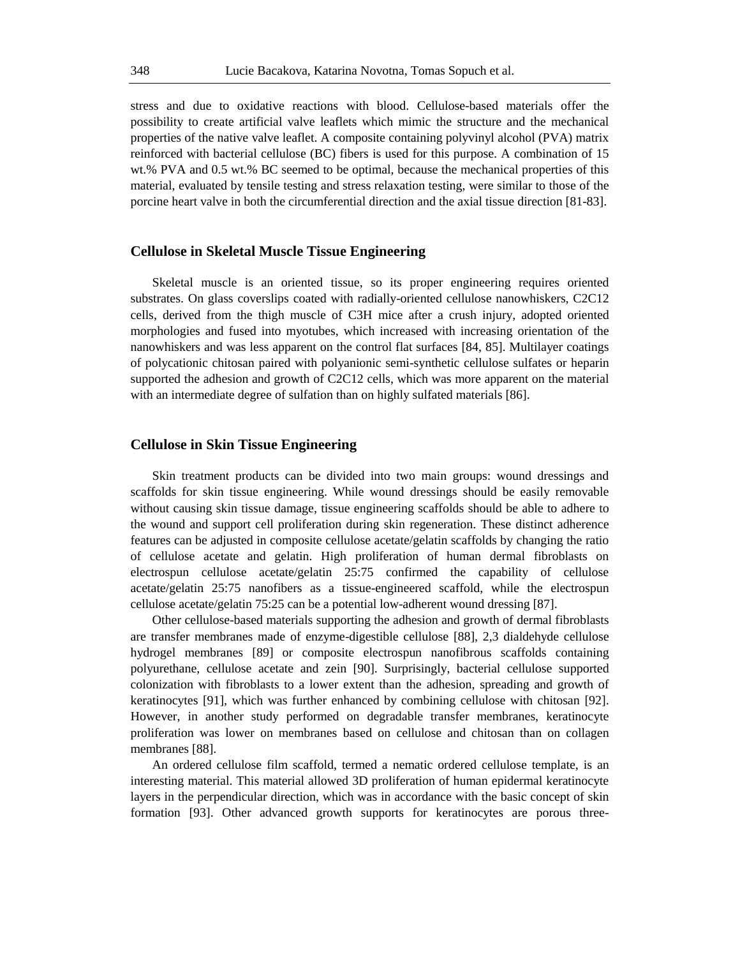stress and due to oxidative reactions with blood. Cellulose-based materials offer the possibility to create artificial valve leaflets which mimic the structure and the mechanical properties of the native valve leaflet. A composite containing polyvinyl alcohol (PVA) matrix reinforced with bacterial cellulose (BC) fibers is used for this purpose. A combination of 15 wt.% PVA and 0.5 wt.% BC seemed to be optimal, because the mechanical properties of this material, evaluated by tensile testing and stress relaxation testing, were similar to those of the porcine heart valve in both the circumferential direction and the axial tissue direction [81-83].

#### **Cellulose in Skeletal Muscle Tissue Engineering**

Skeletal muscle is an oriented tissue, so its proper engineering requires oriented substrates. On glass coverslips coated with radially-oriented cellulose nanowhiskers, C2C12 cells, derived from the thigh muscle of C3H mice after a crush injury, adopted oriented morphologies and fused into myotubes, which increased with increasing orientation of the nanowhiskers and was less apparent on the control flat surfaces [84, 85]. Multilayer coatings of polycationic chitosan paired with polyanionic semi-synthetic cellulose sulfates or heparin supported the adhesion and growth of C2C12 cells, which was more apparent on the material with an intermediate degree of sulfation than on highly sulfated materials [86].

#### **Cellulose in Skin Tissue Engineering**

Skin treatment products can be divided into two main groups: wound dressings and scaffolds for skin tissue engineering. While wound dressings should be easily removable without causing skin tissue damage, tissue engineering scaffolds should be able to adhere to the wound and support cell proliferation during skin regeneration. These distinct adherence features can be adjusted in composite cellulose acetate/gelatin scaffolds by changing the ratio of cellulose acetate and gelatin. High proliferation of human dermal fibroblasts on electrospun cellulose acetate/gelatin 25:75 confirmed the capability of cellulose acetate/gelatin 25:75 nanofibers as a tissue-engineered scaffold, while the electrospun cellulose acetate/gelatin 75:25 can be a potential low-adherent wound dressing [87].

Other cellulose-based materials supporting the adhesion and growth of dermal fibroblasts are transfer membranes made of enzyme-digestible cellulose [88], 2,3 dialdehyde cellulose hydrogel membranes [89] or composite electrospun nanofibrous scaffolds containing polyurethane, cellulose acetate and zein [90]. Surprisingly, bacterial cellulose supported colonization with fibroblasts to a lower extent than the adhesion, spreading and growth of keratinocytes [91], which was further enhanced by combining cellulose with chitosan [92]. However, in another study performed on degradable transfer membranes, keratinocyte proliferation was lower on membranes based on cellulose and chitosan than on collagen membranes [88].

An ordered cellulose film scaffold, termed a nematic ordered cellulose template, is an interesting material. This material allowed 3D proliferation of human epidermal keratinocyte layers in the perpendicular direction, which was in accordance with the basic concept of skin formation [93]. Other advanced growth supports for keratinocytes are porous three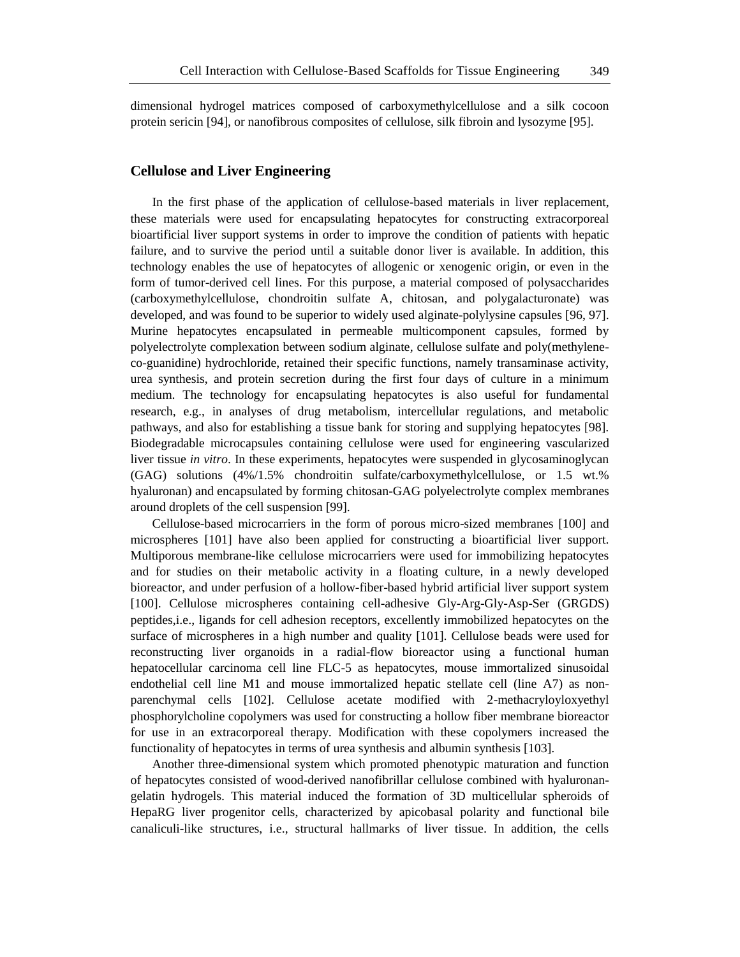dimensional hydrogel matrices composed of carboxymethylcellulose and a silk cocoon protein sericin [94], or nanofibrous composites of cellulose, silk fibroin and lysozyme [95].

#### **Cellulose and Liver Engineering**

In the first phase of the application of cellulose-based materials in liver replacement, these materials were used for encapsulating hepatocytes for constructing extracorporeal bioartificial liver support systems in order to improve the condition of patients with hepatic failure, and to survive the period until a suitable donor liver is available. In addition, this technology enables the use of hepatocytes of allogenic or xenogenic origin, or even in the form of tumor-derived cell lines. For this purpose, a material composed of polysaccharides (carboxymethylcellulose, chondroitin sulfate A, chitosan, and polygalacturonate) was developed, and was found to be superior to widely used alginate-polylysine capsules [96, 97]. Murine hepatocytes encapsulated in permeable multicomponent capsules, formed by polyelectrolyte complexation between sodium alginate, cellulose sulfate and poly(methyleneco-guanidine) hydrochloride, retained their specific functions, namely transaminase activity, urea synthesis, and protein secretion during the first four days of culture in a minimum medium. The technology for encapsulating hepatocytes is also useful for fundamental research, e.g., in analyses of drug metabolism, intercellular regulations, and metabolic pathways, and also for establishing a tissue bank for storing and supplying hepatocytes [98]. Biodegradable microcapsules containing cellulose were used for engineering vascularized liver tissue *in vitro*. In these experiments, hepatocytes were suspended in glycosaminoglycan (GAG) solutions (4%/1.5% chondroitin sulfate/carboxymethylcellulose, or 1.5 wt.% hyaluronan) and encapsulated by forming chitosan-GAG polyelectrolyte complex membranes around droplets of the cell suspension [99].

Cellulose-based microcarriers in the form of porous micro-sized membranes [100] and microspheres [101] have also been applied for constructing a bioartificial liver support. Multiporous membrane-like cellulose microcarriers were used for immobilizing hepatocytes and for studies on their metabolic activity in a floating culture, in a newly developed bioreactor, and under perfusion of a hollow-fiber-based hybrid artificial liver support system [100]. Cellulose microspheres containing cell-adhesive Gly-Arg-Gly-Asp-Ser (GRGDS) peptides,i.e., ligands for cell adhesion receptors, excellently immobilized hepatocytes on the surface of microspheres in a high number and quality [101]. Cellulose beads were used for reconstructing liver organoids in a radial-flow bioreactor using a functional human hepatocellular carcinoma cell line FLC-5 as hepatocytes, mouse immortalized sinusoidal endothelial cell line M1 and mouse immortalized hepatic stellate cell (line A7) as nonparenchymal cells [102]. Cellulose acetate modified with 2-methacryloyloxyethyl phosphorylcholine copolymers was used for constructing a hollow fiber membrane bioreactor for use in an extracorporeal therapy. Modification with these copolymers increased the functionality of hepatocytes in terms of urea synthesis and albumin synthesis [103].

Another three-dimensional system which promoted phenotypic maturation and function of hepatocytes consisted of wood-derived nanofibrillar cellulose combined with hyaluronangelatin hydrogels. This material induced the formation of 3D multicellular spheroids of HepaRG liver progenitor cells, characterized by apicobasal polarity and functional bile canaliculi-like structures, i.e., structural hallmarks of liver tissue. In addition, the cells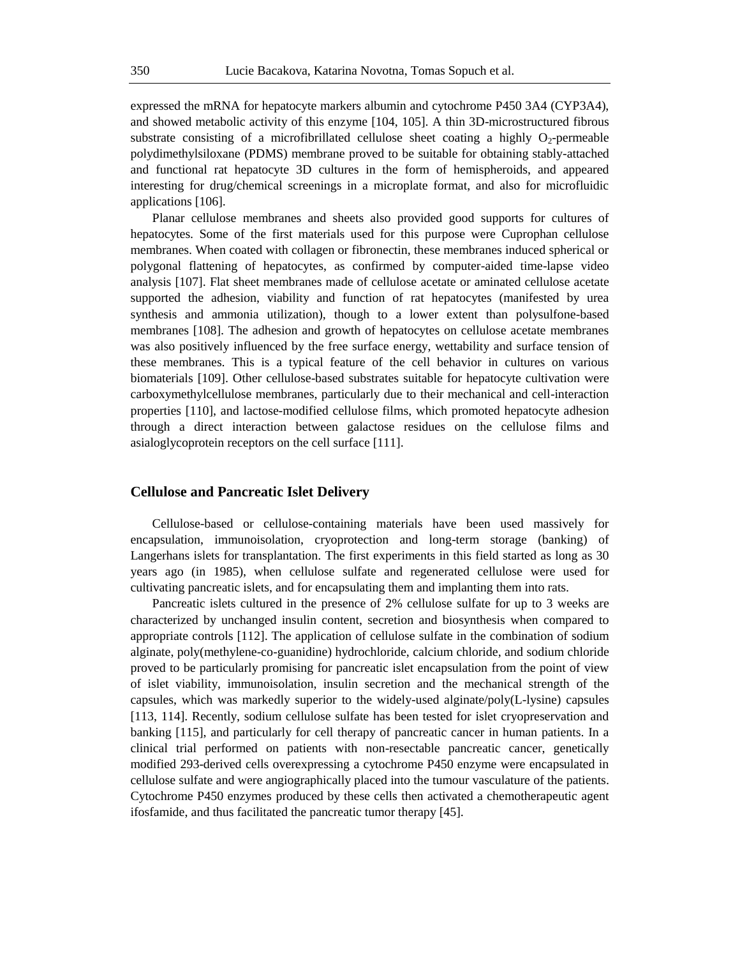expressed the mRNA for hepatocyte markers albumin and cytochrome P450 3A4 (CYP3A4), and showed metabolic activity of this enzyme [104, 105]. A thin 3D-microstructured fibrous substrate consisting of a microfibrillated cellulose sheet coating a highly  $O_2$ -permeable polydimethylsiloxane (PDMS) membrane proved to be suitable for obtaining stably-attached and functional rat hepatocyte 3D cultures in the form of hemispheroids, and appeared interesting for drug/chemical screenings in a microplate format, and also for microfluidic applications [106].

Planar cellulose membranes and sheets also provided good supports for cultures of hepatocytes. Some of the first materials used for this purpose were Cuprophan cellulose membranes. When coated with collagen or fibronectin, these membranes induced spherical or polygonal flattening of hepatocytes, as confirmed by computer-aided time-lapse video analysis [107]. Flat sheet membranes made of cellulose acetate or aminated cellulose acetate supported the adhesion, viability and function of rat hepatocytes (manifested by urea synthesis and ammonia utilization), though to a lower extent than polysulfone-based membranes [108]. The adhesion and growth of hepatocytes on cellulose acetate membranes was also positively influenced by the free surface energy, wettability and surface tension of these membranes. This is a typical feature of the cell behavior in cultures on various biomaterials [109]. Other cellulose-based substrates suitable for hepatocyte cultivation were carboxymethylcellulose membranes, particularly due to their mechanical and cell-interaction properties [110], and lactose-modified cellulose films, which promoted hepatocyte adhesion through a direct interaction between galactose residues on the cellulose films and asialoglycoprotein receptors on the cell surface [111].

#### **Cellulose and Pancreatic Islet Delivery**

Cellulose-based or cellulose-containing materials have been used massively for encapsulation, immunoisolation, cryoprotection and long-term storage (banking) of Langerhans islets for transplantation. The first experiments in this field started as long as 30 years ago (in 1985), when cellulose sulfate and regenerated cellulose were used for cultivating pancreatic islets, and for encapsulating them and implanting them into rats.

Pancreatic islets cultured in the presence of 2% cellulose sulfate for up to 3 weeks are characterized by unchanged insulin content, secretion and biosynthesis when compared to appropriate controls [112]. The application of cellulose sulfate in the combination of sodium alginate, poly(methylene-co-guanidine) hydrochloride, calcium chloride, and sodium chloride proved to be particularly promising for pancreatic islet encapsulation from the point of view of islet viability, immunoisolation, insulin secretion and the mechanical strength of the capsules, which was markedly superior to the widely-used alginate/poly(L-lysine) capsules [113, 114]. Recently, sodium cellulose sulfate has been tested for islet cryopreservation and banking [115], and particularly for cell therapy of pancreatic cancer in human patients. In a clinical trial performed on patients with non-resectable pancreatic cancer, genetically modified 293-derived cells overexpressing a cytochrome P450 enzyme were encapsulated in cellulose sulfate and were angiographically placed into the tumour vasculature of the patients. Cytochrome P450 enzymes produced by these cells then activated a chemotherapeutic agent ifosfamide, and thus facilitated the pancreatic tumor therapy [45].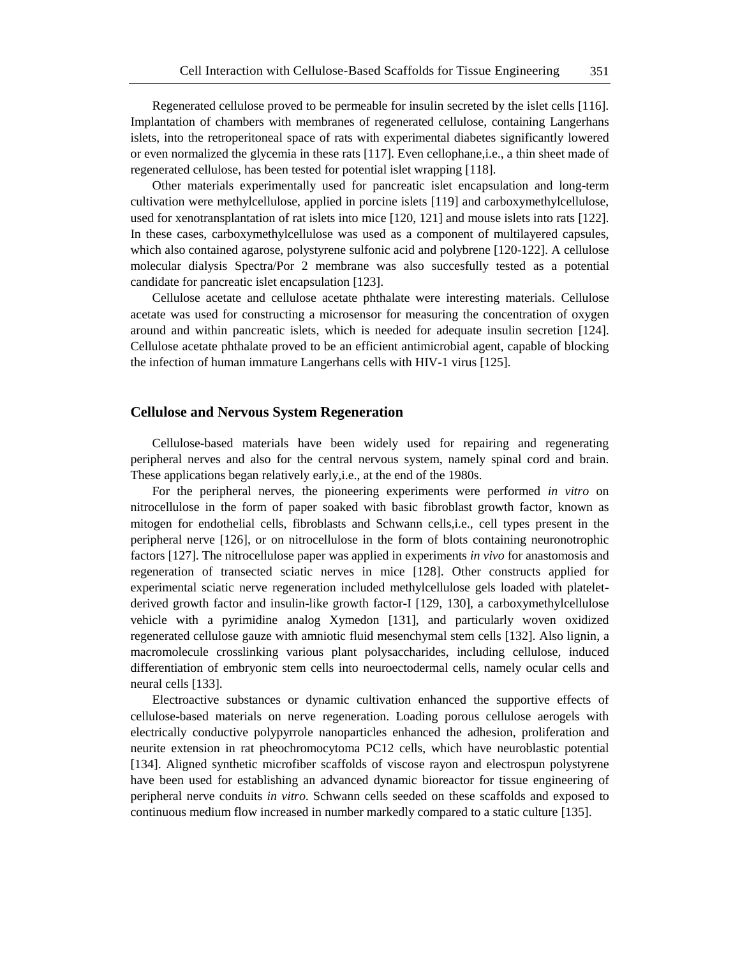Regenerated cellulose proved to be permeable for insulin secreted by the islet cells [116]. Implantation of chambers with membranes of regenerated cellulose, containing Langerhans islets, into the retroperitoneal space of rats with experimental diabetes significantly lowered or even normalized the glycemia in these rats [117]. Even cellophane,i.e., a thin sheet made of regenerated cellulose, has been tested for potential islet wrapping [118].

Other materials experimentally used for pancreatic islet encapsulation and long-term cultivation were methylcellulose, applied in porcine islets [119] and carboxymethylcellulose, used for xenotransplantation of rat islets into mice [120, 121] and mouse islets into rats [122]. In these cases, carboxymethylcellulose was used as a component of multilayered capsules, which also contained agarose, polystyrene sulfonic acid and polybrene [120-122]. A cellulose molecular dialysis Spectra/Por 2 membrane was also succesfully tested as a potential candidate for pancreatic islet encapsulation [123].

Cellulose acetate and cellulose acetate phthalate were interesting materials. Cellulose acetate was used for constructing a microsensor for measuring the concentration of oxygen around and within pancreatic islets, which is needed for adequate insulin secretion [124]. Cellulose acetate phthalate proved to be an efficient antimicrobial agent, capable of blocking the infection of human immature Langerhans cells with HIV-1 virus [125].

#### **Cellulose and Nervous System Regeneration**

Cellulose-based materials have been widely used for repairing and regenerating peripheral nerves and also for the central nervous system, namely spinal cord and brain. These applications began relatively early,i.e., at the end of the 1980s.

For the peripheral nerves, the pioneering experiments were performed *in vitro* on nitrocellulose in the form of paper soaked with basic fibroblast growth factor, known as mitogen for endothelial cells, fibroblasts and Schwann cells,i.e., cell types present in the peripheral nerve [126], or on nitrocellulose in the form of blots containing neuronotrophic factors [127]. The nitrocellulose paper was applied in experiments *in vivo* for anastomosis and regeneration of transected sciatic nerves in mice [128]. Other constructs applied for experimental sciatic nerve regeneration included methylcellulose gels loaded with plateletderived growth factor and insulin-like growth factor-I [129, 130], a carboxymethylcellulose vehicle with a pyrimidine analog Xymedon [131], and particularly woven oxidized regenerated cellulose gauze with amniotic fluid mesenchymal stem cells [132]. Also lignin, a macromolecule crosslinking various plant polysaccharides, including cellulose, induced differentiation of embryonic stem cells into neuroectodermal cells, namely ocular cells and neural cells [133].

Electroactive substances or dynamic cultivation enhanced the supportive effects of cellulose-based materials on nerve regeneration. Loading porous cellulose aerogels with electrically conductive polypyrrole nanoparticles enhanced the adhesion, proliferation and neurite extension in rat pheochromocytoma PC12 cells, which have neuroblastic potential [134]. Aligned synthetic microfiber scaffolds of viscose rayon and electrospun polystyrene have been used for establishing an advanced dynamic bioreactor for tissue engineering of peripheral nerve conduits *in vitro*. Schwann cells seeded on these scaffolds and exposed to continuous medium flow increased in number markedly compared to a static culture [135].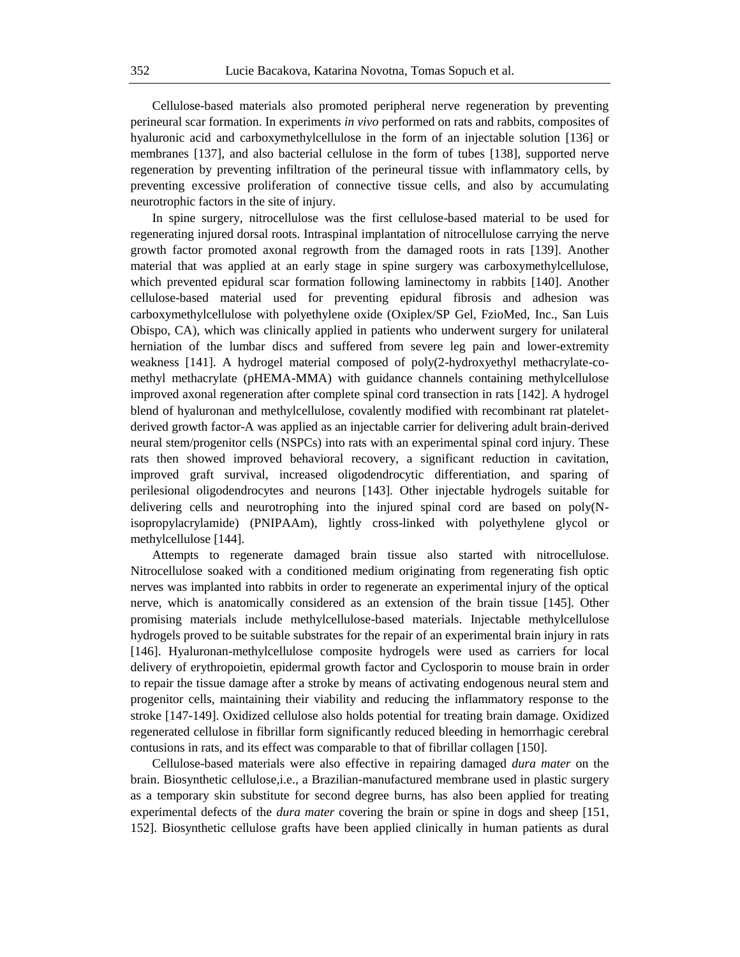Cellulose-based materials also promoted peripheral nerve regeneration by preventing perineural scar formation. In experiments *in vivo* performed on rats and rabbits, composites of hyaluronic acid and carboxymethylcellulose in the form of an injectable solution [136] or membranes [137], and also bacterial cellulose in the form of tubes [138], supported nerve regeneration by preventing infiltration of the perineural tissue with inflammatory cells, by preventing excessive proliferation of connective tissue cells, and also by accumulating neurotrophic factors in the site of injury.

In spine surgery, nitrocellulose was the first cellulose-based material to be used for regenerating injured dorsal roots. Intraspinal implantation of nitrocellulose carrying the nerve growth factor promoted axonal regrowth from the damaged roots in rats [139]. Another material that was applied at an early stage in spine surgery was carboxymethylcellulose, which prevented epidural scar formation following laminectomy in rabbits [140]. Another cellulose-based material used for preventing epidural fibrosis and adhesion was carboxymethylcellulose with polyethylene oxide (Oxiplex/SP Gel, FzioMed, Inc., San Luis Obispo, CA), which was clinically applied in patients who underwent surgery for unilateral herniation of the lumbar discs and suffered from severe leg pain and lower-extremity weakness [141]. A hydrogel material composed of poly(2-hydroxyethyl methacrylate-comethyl methacrylate (pHEMA-MMA) with guidance channels containing methylcellulose improved axonal regeneration after complete spinal cord transection in rats [142]. A hydrogel blend of hyaluronan and methylcellulose, covalently modified with recombinant rat plateletderived growth factor-A was applied as an injectable carrier for delivering adult brain-derived neural stem/progenitor cells (NSPCs) into rats with an experimental spinal cord injury. These rats then showed improved behavioral recovery, a significant reduction in cavitation, improved graft survival, increased oligodendrocytic differentiation, and sparing of perilesional oligodendrocytes and neurons [143]. Other injectable hydrogels suitable for delivering cells and neurotrophing into the injured spinal cord are based on poly(Nisopropylacrylamide) (PNIPAAm), lightly cross-linked with polyethylene glycol or methylcellulose [144].

Attempts to regenerate damaged brain tissue also started with nitrocellulose. Nitrocellulose soaked with a conditioned medium originating from regenerating fish optic nerves was implanted into rabbits in order to regenerate an experimental injury of the optical nerve, which is anatomically considered as an extension of the brain tissue [145]. Other promising materials include methylcellulose-based materials. Injectable methylcellulose hydrogels proved to be suitable substrates for the repair of an experimental brain injury in rats [146]. Hyaluronan-methylcellulose composite hydrogels were used as carriers for local delivery of erythropoietin, epidermal growth factor and Cyclosporin to mouse brain in order to repair the tissue damage after a stroke by means of activating endogenous neural stem and progenitor cells, maintaining their viability and reducing the inflammatory response to the stroke [147-149]. Oxidized cellulose also holds potential for treating brain damage. Oxidized regenerated cellulose in fibrillar form significantly reduced bleeding in hemorrhagic cerebral contusions in rats, and its effect was comparable to that of fibrillar collagen [150].

Cellulose-based materials were also effective in repairing damaged *dura mater* on the brain. Biosynthetic cellulose,i.e., a Brazilian-manufactured membrane used in plastic surgery as a temporary skin substitute for second degree burns, has also been applied for treating experimental defects of the *dura mater* covering the brain or spine in dogs and sheep [151, 152]. Biosynthetic cellulose grafts have been applied clinically in human patients as dural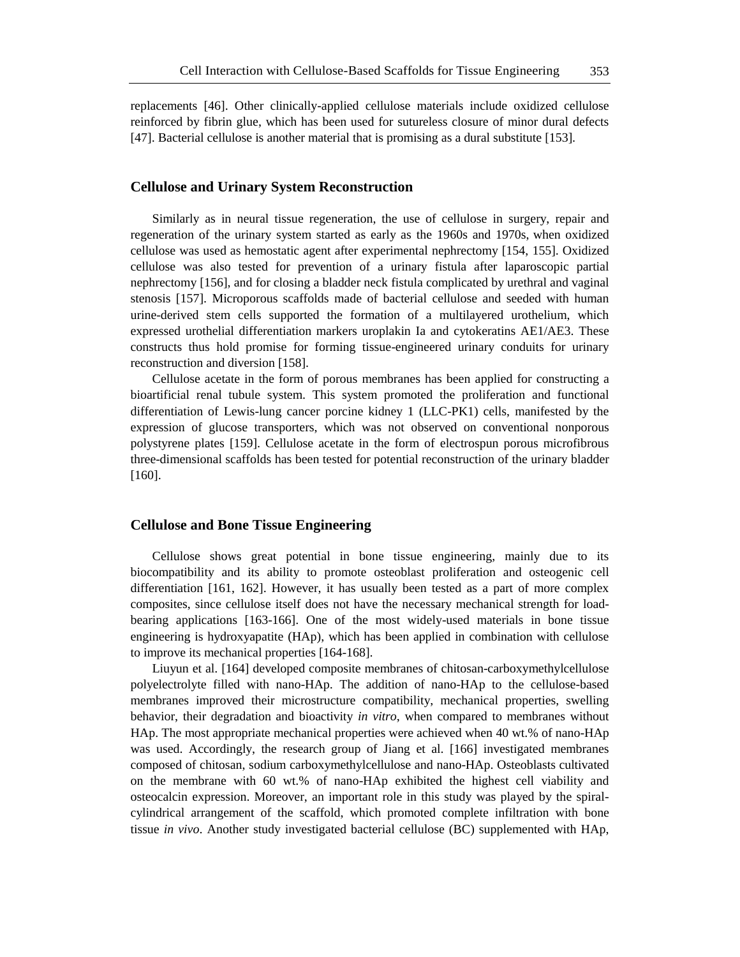replacements [46]. Other clinically-applied cellulose materials include oxidized cellulose reinforced by fibrin glue, which has been used for sutureless closure of minor dural defects [47]. Bacterial cellulose is another material that is promising as a dural substitute [153].

#### **Cellulose and Urinary System Reconstruction**

Similarly as in neural tissue regeneration, the use of cellulose in surgery, repair and regeneration of the urinary system started as early as the 1960s and 1970s, when oxidized cellulose was used as hemostatic agent after experimental nephrectomy [154, 155]. Oxidized cellulose was also tested for prevention of a urinary fistula after laparoscopic partial nephrectomy [156], and for closing a bladder neck fistula complicated by urethral and vaginal stenosis [157]. Microporous scaffolds made of bacterial cellulose and seeded with human urine-derived stem cells supported the formation of a multilayered urothelium, which expressed urothelial differentiation markers uroplakin Ia and cytokeratins AE1/AE3. These constructs thus hold promise for forming tissue-engineered urinary conduits for urinary reconstruction and diversion [158].

Cellulose acetate in the form of porous membranes has been applied for constructing a bioartificial renal tubule system. This system promoted the proliferation and functional differentiation of Lewis-lung cancer porcine kidney 1 (LLC-PK1) cells, manifested by the expression of glucose transporters, which was not observed on conventional nonporous polystyrene plates [159]. Cellulose acetate in the form of electrospun porous microfibrous three-dimensional scaffolds has been tested for potential reconstruction of the urinary bladder [160].

## **Cellulose and Bone Tissue Engineering**

Cellulose shows great potential in bone tissue engineering, mainly due to its biocompatibility and its ability to promote osteoblast proliferation and osteogenic cell differentiation [161, 162]. However, it has usually been tested as a part of more complex composites, since cellulose itself does not have the necessary mechanical strength for loadbearing applications [163-166]. One of the most widely-used materials in bone tissue engineering is hydroxyapatite (HAp), which has been applied in combination with cellulose to improve its mechanical properties [164-168].

Liuyun et al. [164] developed composite membranes of chitosan-carboxymethylcellulose polyelectrolyte filled with nano-HAp. The addition of nano-HAp to the cellulose-based membranes improved their microstructure compatibility, mechanical properties, swelling behavior, their degradation and bioactivity *in vitro*, when compared to membranes without HAp. The most appropriate mechanical properties were achieved when 40 wt.% of nano-HAp was used. Accordingly, the research group of Jiang et al. [166] investigated membranes composed of chitosan, sodium carboxymethylcellulose and nano-HAp. Osteoblasts cultivated on the membrane with 60 wt.% of nano-HAp exhibited the highest cell viability and osteocalcin expression. Moreover, an important role in this study was played by the spiralcylindrical arrangement of the scaffold, which promoted complete infiltration with bone tissue *in vivo*. Another study investigated bacterial cellulose (BC) supplemented with HAp,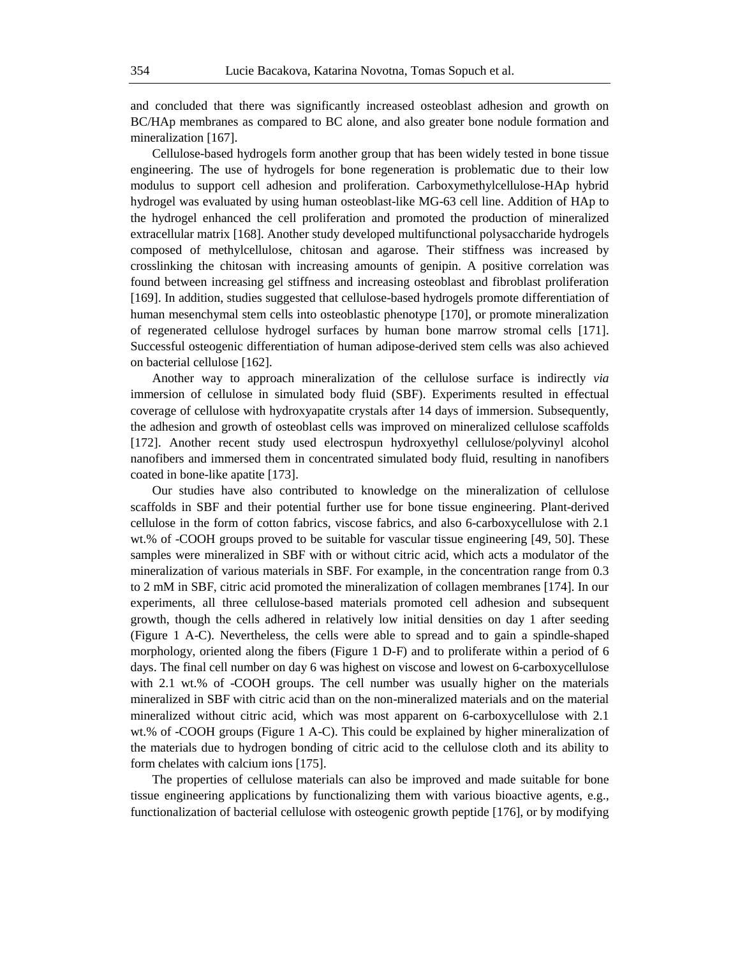and concluded that there was significantly increased osteoblast adhesion and growth on BC/HAp membranes as compared to BC alone, and also greater bone nodule formation and mineralization [167].

Cellulose-based hydrogels form another group that has been widely tested in bone tissue engineering. The use of hydrogels for bone regeneration is problematic due to their low modulus to support cell adhesion and proliferation. Carboxymethylcellulose-HAp hybrid hydrogel was evaluated by using human osteoblast-like MG-63 cell line. Addition of HAp to the hydrogel enhanced the cell proliferation and promoted the production of mineralized extracellular matrix [168]. Another study developed multifunctional polysaccharide hydrogels composed of methylcellulose, chitosan and agarose. Their stiffness was increased by crosslinking the chitosan with increasing amounts of genipin. A positive correlation was found between increasing gel stiffness and increasing osteoblast and fibroblast proliferation [169]. In addition, studies suggested that cellulose-based hydrogels promote differentiation of human mesenchymal stem cells into osteoblastic phenotype [170], or promote mineralization of regenerated cellulose hydrogel surfaces by human bone marrow stromal cells [171]. Successful osteogenic differentiation of human adipose-derived stem cells was also achieved on bacterial cellulose [162].

Another way to approach mineralization of the cellulose surface is indirectly *via* immersion of cellulose in simulated body fluid (SBF). Experiments resulted in effectual coverage of cellulose with hydroxyapatite crystals after 14 days of immersion. Subsequently, the adhesion and growth of osteoblast cells was improved on mineralized cellulose scaffolds [172]. Another recent study used electrospun hydroxyethyl cellulose/polyvinyl alcohol nanofibers and immersed them in concentrated simulated body fluid, resulting in nanofibers coated in bone-like apatite [173].

Our studies have also contributed to knowledge on the mineralization of cellulose scaffolds in SBF and their potential further use for bone tissue engineering. Plant-derived cellulose in the form of cotton fabrics, viscose fabrics, and also 6-carboxycellulose with 2.1 wt.% of -COOH groups proved to be suitable for vascular tissue engineering [49, 50]. These samples were mineralized in SBF with or without citric acid, which acts a modulator of the mineralization of various materials in SBF. For example, in the concentration range from 0.3 to 2 mM in SBF, citric acid promoted the mineralization of collagen membranes [174]. In our experiments, all three cellulose-based materials promoted cell adhesion and subsequent growth, though the cells adhered in relatively low initial densities on day 1 after seeding (Figure 1 A-C). Nevertheless, the cells were able to spread and to gain a spindle-shaped morphology, oriented along the fibers (Figure 1 D-F) and to proliferate within a period of 6 days. The final cell number on day 6 was highest on viscose and lowest on 6-carboxycellulose with 2.1 wt.% of -COOH groups. The cell number was usually higher on the materials mineralized in SBF with citric acid than on the non-mineralized materials and on the material mineralized without citric acid, which was most apparent on 6-carboxycellulose with 2.1 wt.% of -COOH groups (Figure 1 A-C). This could be explained by higher mineralization of the materials due to hydrogen bonding of citric acid to the cellulose cloth and its ability to form chelates with calcium ions [175].

The properties of cellulose materials can also be improved and made suitable for bone tissue engineering applications by functionalizing them with various bioactive agents, e.g., functionalization of bacterial cellulose with osteogenic growth peptide [176], or by modifying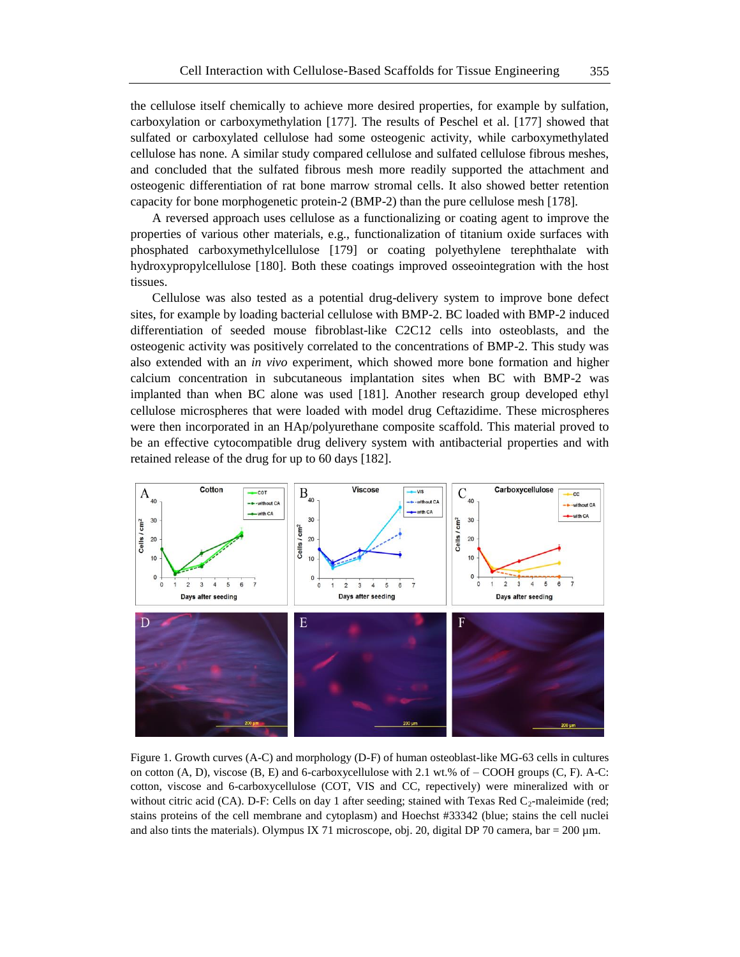the cellulose itself chemically to achieve more desired properties, for example by sulfation, carboxylation or carboxymethylation [177]. The results of Peschel et al. [177] showed that sulfated or carboxylated cellulose had some osteogenic activity, while carboxymethylated cellulose has none. A similar study compared cellulose and sulfated cellulose fibrous meshes, and concluded that the sulfated fibrous mesh more readily supported the attachment and osteogenic differentiation of rat bone marrow stromal cells. It also showed better retention capacity for bone morphogenetic protein-2 (BMP-2) than the pure cellulose mesh [178].

A reversed approach uses cellulose as a functionalizing or coating agent to improve the properties of various other materials, e.g., functionalization of titanium oxide surfaces with phosphated carboxymethylcellulose [179] or coating polyethylene terephthalate with hydroxypropylcellulose [180]. Both these coatings improved osseointegration with the host tissues.

Cellulose was also tested as a potential drug-delivery system to improve bone defect sites, for example by loading bacterial cellulose with BMP-2. BC loaded with BMP-2 induced differentiation of seeded mouse fibroblast-like C2C12 cells into osteoblasts, and the osteogenic activity was positively correlated to the concentrations of BMP-2. This study was also extended with an *in vivo* experiment, which showed more bone formation and higher calcium concentration in subcutaneous implantation sites when BC with BMP-2 was implanted than when BC alone was used [181]. Another research group developed ethyl cellulose microspheres that were loaded with model drug Ceftazidime. These microspheres were then incorporated in an HAp/polyurethane composite scaffold. This material proved to be an effective cytocompatible drug delivery system with antibacterial properties and with retained release of the drug for up to 60 days [182].



Figure 1. Growth curves (A-C) and morphology (D-F) of human osteoblast-like MG-63 cells in cultures on cotton  $(A, D)$ , viscose  $(B, E)$  and 6-carboxycellulose with 2.1 wt.% of – COOH groups  $(C, F)$ . A-C: cotton, viscose and 6-carboxycellulose (COT, VIS and CC, repectively) were mineralized with or without citric acid (CA). D-F: Cells on day 1 after seeding; stained with Texas Red  $C_2$ -maleimide (red; stains proteins of the cell membrane and cytoplasm) and Hoechst #33342 (blue; stains the cell nuclei and also tints the materials). Olympus IX 71 microscope, obj. 20, digital DP 70 camera, bar = 200  $\mu$ m.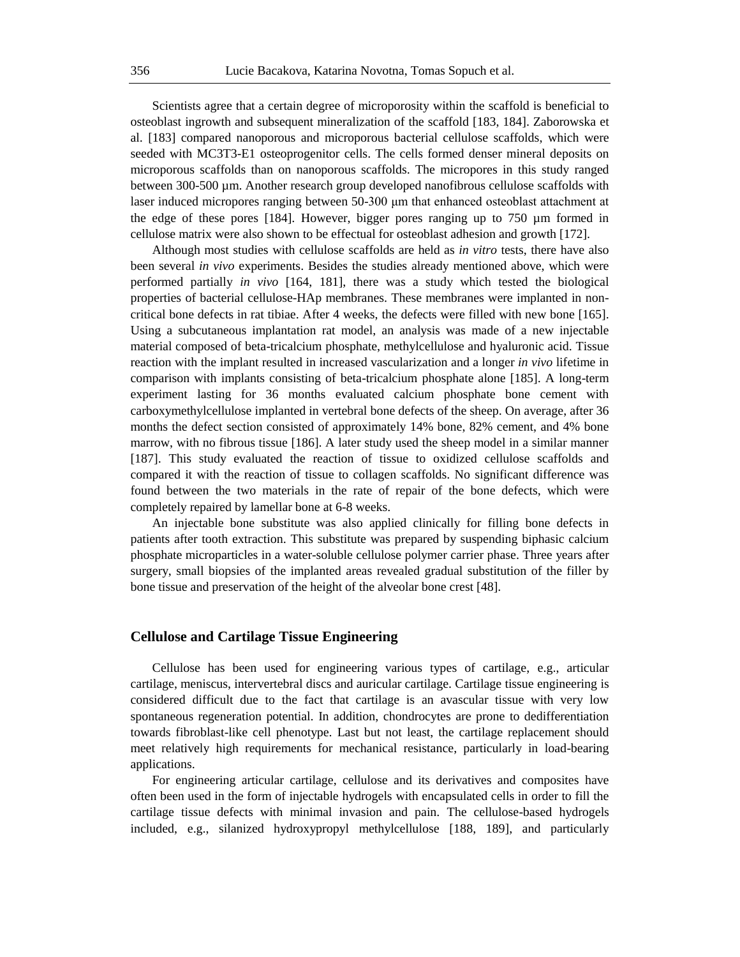Scientists agree that a certain degree of microporosity within the scaffold is beneficial to osteoblast ingrowth and subsequent mineralization of the scaffold [183, 184]. Zaborowska et al. [183] compared nanoporous and microporous bacterial cellulose scaffolds, which were seeded with MC3T3-E1 osteoprogenitor cells. The cells formed denser mineral deposits on microporous scaffolds than on nanoporous scaffolds. The micropores in this study ranged between 300-500 µm. Another research group developed nanofibrous cellulose scaffolds with laser induced micropores ranging between 50-300 μm that enhanced osteoblast attachment at the edge of these pores [184]. However, bigger pores ranging up to 750 µm formed in cellulose matrix were also shown to be effectual for osteoblast adhesion and growth [172].

Although most studies with cellulose scaffolds are held as *in vitro* tests, there have also been several *in vivo* experiments. Besides the studies already mentioned above, which were performed partially *in vivo* [164, 181], there was a study which tested the biological properties of bacterial cellulose-HAp membranes. These membranes were implanted in noncritical bone defects in rat tibiae. After 4 weeks, the defects were filled with new bone [165]. Using a subcutaneous implantation rat model, an analysis was made of a new injectable material composed of beta-tricalcium phosphate, methylcellulose and hyaluronic acid. Tissue reaction with the implant resulted in increased vascularization and a longer *in vivo* lifetime in comparison with implants consisting of beta-tricalcium phosphate alone [185]. A long-term experiment lasting for 36 months evaluated calcium phosphate bone cement with carboxymethylcellulose implanted in vertebral bone defects of the sheep. On average, after 36 months the defect section consisted of approximately 14% bone, 82% cement, and 4% bone marrow, with no fibrous tissue [186]. A later study used the sheep model in a similar manner [187]. This study evaluated the reaction of tissue to oxidized cellulose scaffolds and compared it with the reaction of tissue to collagen scaffolds. No significant difference was found between the two materials in the rate of repair of the bone defects, which were completely repaired by lamellar bone at 6-8 weeks.

An injectable bone substitute was also applied clinically for filling bone defects in patients after tooth extraction. This substitute was prepared by suspending biphasic calcium phosphate microparticles in a water-soluble cellulose polymer carrier phase. Three years after surgery, small biopsies of the implanted areas revealed gradual substitution of the filler by bone tissue and preservation of the height of the alveolar bone crest [48].

#### **Cellulose and Cartilage Tissue Engineering**

Cellulose has been used for engineering various types of cartilage, e.g., articular cartilage, meniscus, intervertebral discs and auricular cartilage. Cartilage tissue engineering is considered difficult due to the fact that cartilage is an avascular tissue with very low spontaneous regeneration potential. In addition, chondrocytes are prone to dedifferentiation towards fibroblast-like cell phenotype. Last but not least, the cartilage replacement should meet relatively high requirements for mechanical resistance, particularly in load-bearing applications.

For engineering articular cartilage, cellulose and its derivatives and composites have often been used in the form of injectable hydrogels with encapsulated cells in order to fill the cartilage tissue defects with minimal invasion and pain. The cellulose-based hydrogels included, e.g., silanized hydroxypropyl methylcellulose [188, 189], and particularly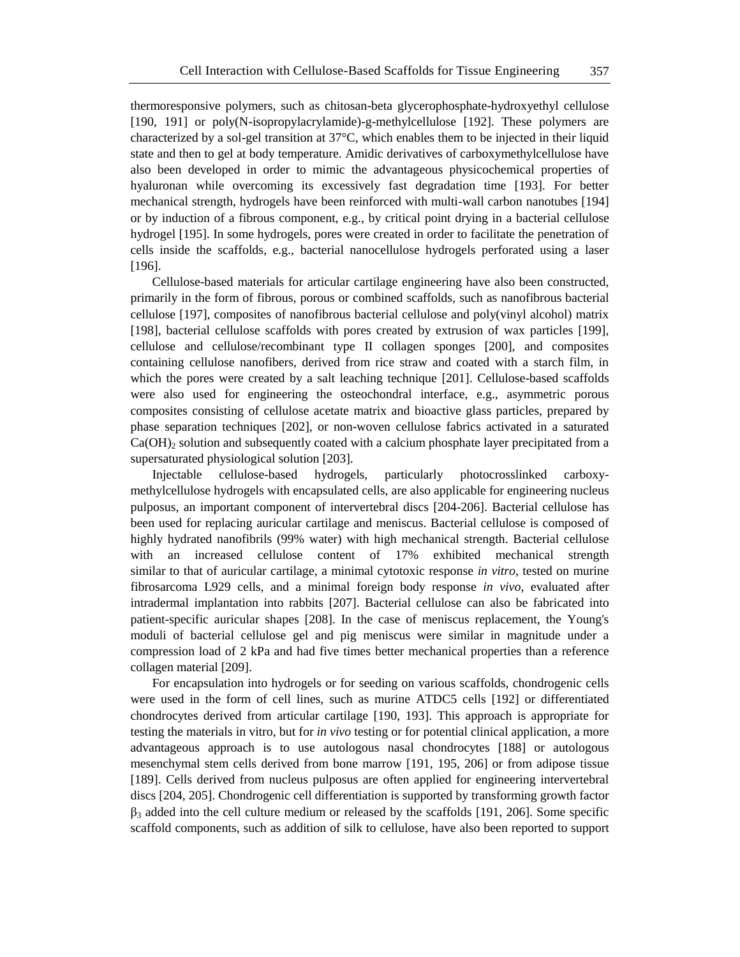thermoresponsive polymers, such as chitosan-beta glycerophosphate-hydroxyethyl cellulose [190, 191] or poly(N-isopropylacrylamide)-g-methylcellulose [192]. These polymers are characterized by a sol-gel transition at 37°C, which enables them to be injected in their liquid state and then to gel at body temperature. Amidic derivatives of carboxymethylcellulose have also been developed in order to mimic the advantageous physicochemical properties of hyaluronan while overcoming its excessively fast degradation time [193]. For better mechanical strength, hydrogels have been reinforced with multi-wall carbon nanotubes [194] or by induction of a fibrous component, e.g., by critical point drying in a bacterial cellulose hydrogel [195]. In some hydrogels, pores were created in order to facilitate the penetration of cells inside the scaffolds, e.g., bacterial nanocellulose hydrogels perforated using a laser [196].

Cellulose-based materials for articular cartilage engineering have also been constructed, primarily in the form of fibrous, porous or combined scaffolds, such as nanofibrous bacterial cellulose [197], composites of nanofibrous bacterial cellulose and poly(vinyl alcohol) matrix [198], bacterial cellulose scaffolds with pores created by extrusion of wax particles [199], cellulose and cellulose/recombinant type II collagen sponges [200], and composites containing cellulose nanofibers, derived from rice straw and coated with a starch film, in which the pores were created by a salt leaching technique [201]. Cellulose-based scaffolds were also used for engineering the osteochondral interface, e.g., asymmetric porous composites consisting of cellulose acetate matrix and bioactive glass particles, prepared by phase separation techniques [202], or non-woven cellulose fabrics activated in a saturated  $Ca(OH)$ <sub>2</sub> solution and subsequently coated with a calcium phosphate layer precipitated from a supersaturated physiological solution [203].

Injectable cellulose-based hydrogels, particularly photocrosslinked carboxymethylcellulose hydrogels with encapsulated cells, are also applicable for engineering nucleus pulposus, an important component of intervertebral discs [204-206]. Bacterial cellulose has been used for replacing auricular cartilage and meniscus. Bacterial cellulose is composed of highly hydrated nanofibrils (99% water) with high mechanical strength. Bacterial cellulose with an increased cellulose content of 17% exhibited mechanical strength similar to that of auricular cartilage, a minimal cytotoxic response *in vitro*, tested on murine fibrosarcoma L929 cells, and a minimal foreign body response *in vivo*, evaluated after intradermal implantation into rabbits [207]. Bacterial cellulose can also be fabricated into patient-specific auricular shapes [208]. In the case of meniscus replacement, the Young's moduli of bacterial cellulose gel and pig meniscus were similar in magnitude under a compression load of 2 kPa and had five times better mechanical properties than a reference collagen material [209].

For encapsulation into hydrogels or for seeding on various scaffolds, chondrogenic cells were used in the form of cell lines, such as murine ATDC5 cells [192] or differentiated chondrocytes derived from articular cartilage [190, 193]. This approach is appropriate for testing the materials in vitro, but for *in vivo* testing or for potential clinical application, a more advantageous approach is to use autologous nasal chondrocytes [188] or autologous mesenchymal stem cells derived from bone marrow [191, 195, 206] or from adipose tissue [189]. Cells derived from nucleus pulposus are often applied for engineering intervertebral discs [204, 205]. Chondrogenic cell differentiation is supported by transforming growth factor  $\beta_3$  added into the cell culture medium or released by the scaffolds [191, 206]. Some specific scaffold components, such as addition of silk to cellulose, have also been reported to support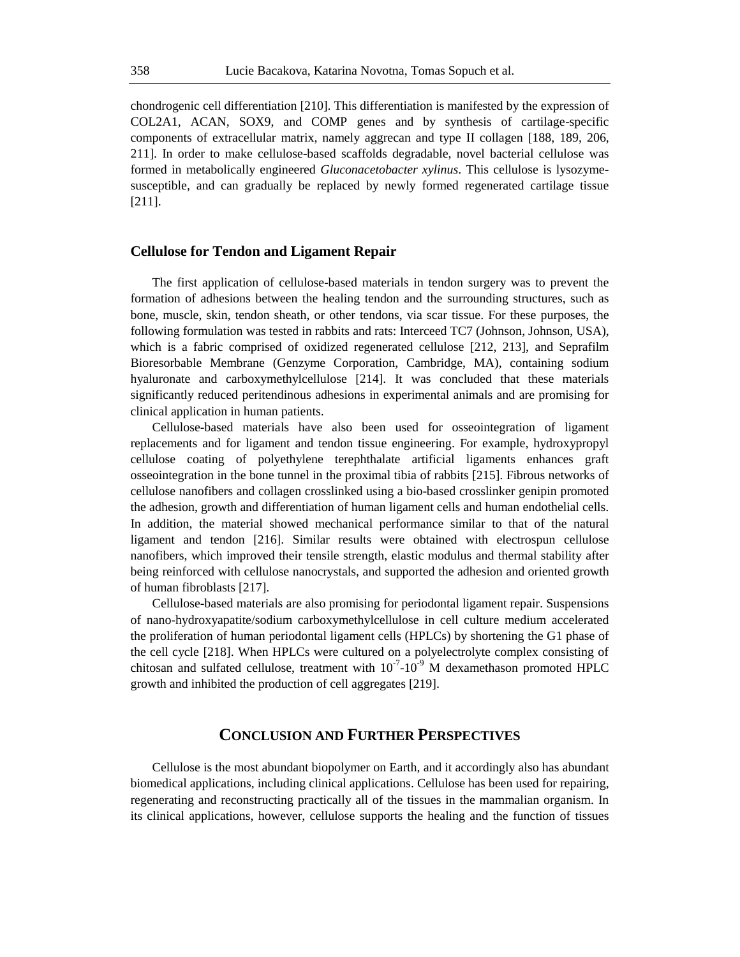chondrogenic cell differentiation [210]. This differentiation is manifested by the expression of COL2A1, ACAN, SOX9, and COMP genes and by synthesis of cartilage-specific components of extracellular matrix, namely aggrecan and type II collagen [188, 189, 206, 211]. In order to make cellulose-based scaffolds degradable, novel bacterial cellulose was formed in metabolically engineered *Gluconacetobacter xylinus*. This cellulose is lysozymesusceptible, and can gradually be replaced by newly formed regenerated cartilage tissue [211].

#### **Cellulose for Tendon and Ligament Repair**

The first application of cellulose-based materials in tendon surgery was to prevent the formation of adhesions between the healing tendon and the surrounding structures, such as bone, muscle, skin, tendon sheath, or other tendons, via scar tissue. For these purposes, the following formulation was tested in rabbits and rats: Interceed TC7 (Johnson, Johnson, USA), which is a fabric comprised of oxidized regenerated cellulose [212, 213], and Seprafilm Bioresorbable Membrane (Genzyme Corporation, Cambridge, MA), containing sodium hyaluronate and carboxymethylcellulose [214]. It was concluded that these materials significantly reduced peritendinous adhesions in experimental animals and are promising for clinical application in human patients.

Cellulose-based materials have also been used for osseointegration of ligament replacements and for ligament and tendon tissue engineering. For example, hydroxypropyl cellulose coating of polyethylene terephthalate artificial ligaments enhances graft osseointegration in the bone tunnel in the proximal tibia of rabbits [215]. Fibrous networks of cellulose nanofibers and collagen crosslinked using a bio-based crosslinker genipin promoted the adhesion, growth and differentiation of human ligament cells and human endothelial cells. In addition, the material showed mechanical performance similar to that of the natural ligament and tendon [216]. Similar results were obtained with electrospun cellulose nanofibers, which improved their tensile strength, elastic modulus and thermal stability after being reinforced with cellulose nanocrystals, and supported the adhesion and oriented growth of human fibroblasts [217].

Cellulose-based materials are also promising for periodontal ligament repair. Suspensions of nano-hydroxyapatite/sodium carboxymethylcellulose in cell culture medium accelerated the proliferation of human periodontal ligament cells (HPLCs) by shortening the G1 phase of the cell cycle [218]. When HPLCs were cultured on a polyelectrolyte complex consisting of chitosan and sulfated cellulose, treatment with  $10^{-7}$ - $10^{-9}$  M dexamethason promoted HPLC growth and inhibited the production of cell aggregates [219].

# **CONCLUSION AND FURTHER PERSPECTIVES**

Cellulose is the most abundant biopolymer on Earth, and it accordingly also has abundant biomedical applications, including clinical applications. Cellulose has been used for repairing, regenerating and reconstructing practically all of the tissues in the mammalian organism. In its clinical applications, however, cellulose supports the healing and the function of tissues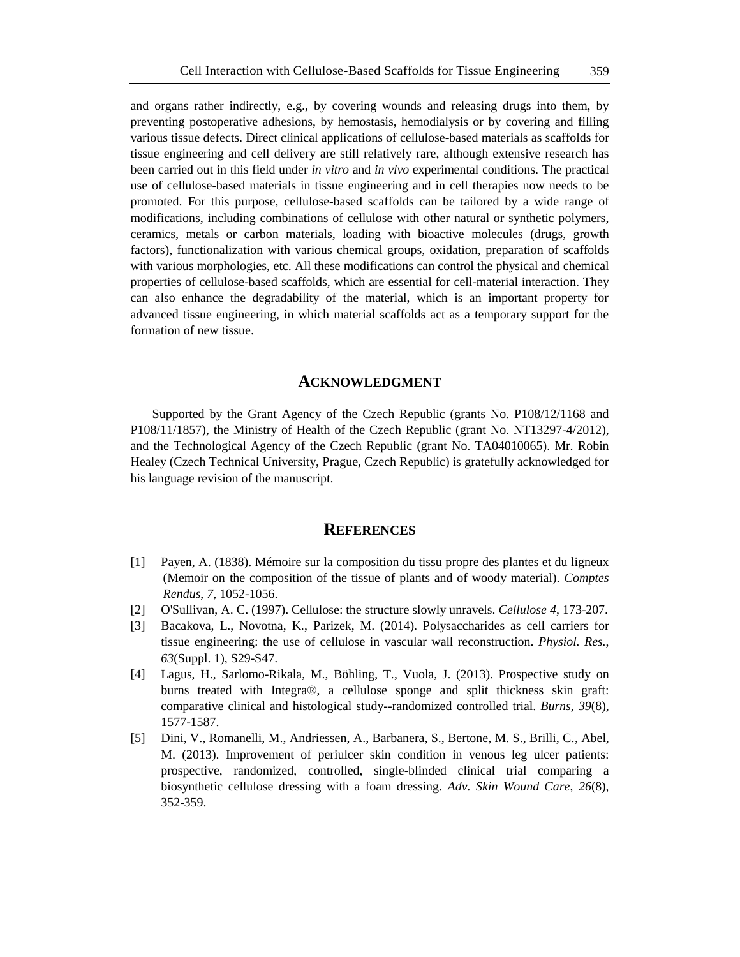and organs rather indirectly, e.g., by covering wounds and releasing drugs into them, by preventing postoperative adhesions, by hemostasis, hemodialysis or by covering and filling various tissue defects. Direct clinical applications of cellulose-based materials as scaffolds for tissue engineering and cell delivery are still relatively rare, although extensive research has been carried out in this field under *in vitro* and *in vivo* experimental conditions. The practical use of cellulose-based materials in tissue engineering and in cell therapies now needs to be promoted. For this purpose, cellulose-based scaffolds can be tailored by a wide range of modifications, including combinations of cellulose with other natural or synthetic polymers, ceramics, metals or carbon materials, loading with bioactive molecules (drugs, growth factors), functionalization with various chemical groups, oxidation, preparation of scaffolds with various morphologies, etc. All these modifications can control the physical and chemical properties of cellulose-based scaffolds, which are essential for cell-material interaction. They can also enhance the degradability of the material, which is an important property for advanced tissue engineering, in which material scaffolds act as a temporary support for the formation of new tissue.

#### **ACKNOWLEDGMENT**

Supported by the Grant Agency of the Czech Republic (grants No. P108/12/1168 and P108/11/1857), the Ministry of Health of the Czech Republic (grant No. NT13297-4/2012), and the Technological Agency of the Czech Republic (grant No. TA04010065). Mr. Robin Healey (Czech Technical University, Prague, Czech Republic) is gratefully acknowledged for his language revision of the manuscript.

#### **REFERENCES**

- [1] Payen, A. (1838). Mémoire sur la composition du tissu propre des plantes et du ligneux (Memoir on the composition of the tissue of plants and of woody material). *Comptes Rendus*, *7*, 1052-1056.
- [2] O'Sullivan, A. C. (1997). Cellulose: the structure slowly unravels. *Cellulose 4*, 173-207.
- [3] Bacakova, L., Novotna, K., Parizek, M. (2014). Polysaccharides as cell carriers for tissue engineering: the use of cellulose in vascular wall reconstruction. *Physiol. Res.*, *63*(Suppl. 1), S29-S47.
- [4] Lagus, H., Sarlomo-Rikala, M., Böhling, T., Vuola, J. (2013). Prospective study on burns treated with Integra®, a cellulose sponge and split thickness skin graft: comparative clinical and histological study--randomized controlled trial. *Burns*, *39*(8), 1577-1587.
- [5] Dini, V., Romanelli, M., Andriessen, A., Barbanera, S., Bertone, M. S., Brilli, C., Abel, M. (2013). Improvement of periulcer skin condition in venous leg ulcer patients: prospective, randomized, controlled, single-blinded clinical trial comparing a biosynthetic cellulose dressing with a foam dressing. *Adv. Skin Wound Care*, *26*(8), 352-359.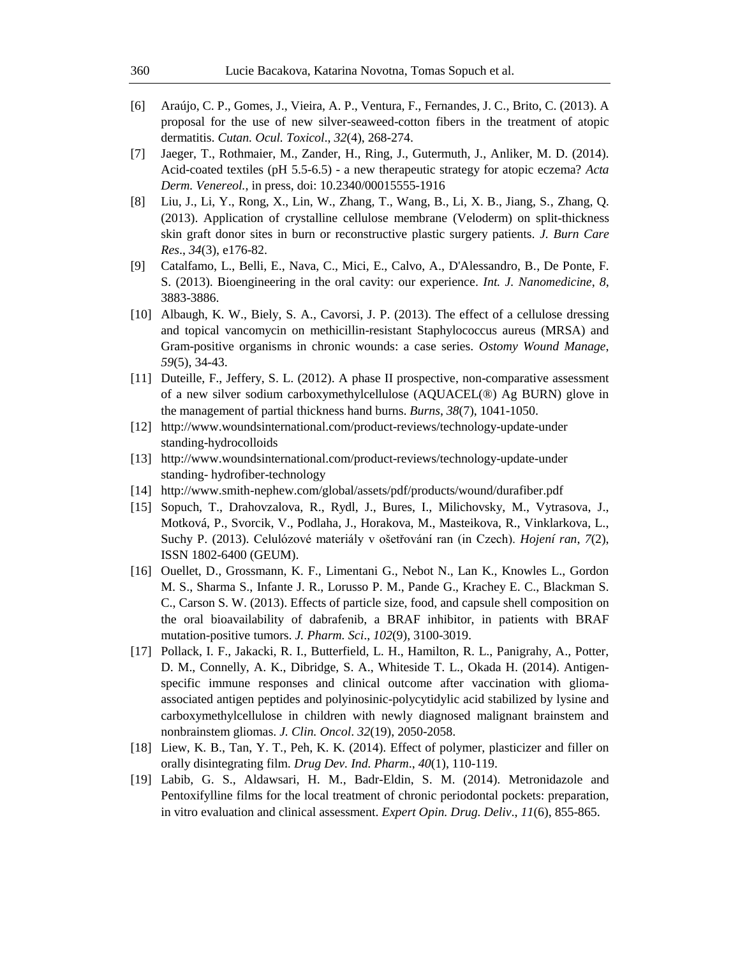- [6] Araújo, C. P., Gomes, J., Vieira, A. P., Ventura, F., Fernandes, J. C., Brito, C. (2013). A proposal for the use of new silver-seaweed-cotton fibers in the treatment of atopic dermatitis. *Cutan. Ocul. Toxicol*., *32*(4), 268-274.
- [7] Jaeger, T., Rothmaier, M., Zander, H., Ring, J., Gutermuth, J., Anliker, M. D. (2014). Acid-coated textiles (pH 5.5-6.5) - a new therapeutic strategy for atopic eczema? *Acta Derm. Venereol.*, in press, doi: 10.2340/00015555-1916
- [8] Liu, J., Li, Y., Rong, X., Lin, W., Zhang, T., Wang, B., Li, X. B., Jiang, S., Zhang, Q. (2013). Application of crystalline cellulose membrane (Veloderm) on split-thickness skin graft donor sites in burn or reconstructive plastic surgery patients. *J. Burn Care Res*., *34*(3), e176-82.
- [9] Catalfamo, L., Belli, E., Nava, C., Mici, E., Calvo, A., D'Alessandro, B., De Ponte, F. S. (2013). Bioengineering in the oral cavity: our experience. *Int. J. Nanomedicine*, *8*, 3883-3886.
- [10] Albaugh, K. W., Biely, S. A., Cavorsi, J. P. (2013). The effect of a cellulose dressing and topical vancomycin on methicillin-resistant Staphylococcus aureus (MRSA) and Gram-positive organisms in chronic wounds: a case series. *Ostomy Wound Manage*, *59*(5), 34-43.
- [11] Duteille, F., Jeffery, S. L. (2012). A phase II prospective, non-comparative assessment of a new silver sodium carboxymethylcellulose (AQUACEL(®) Ag BURN) glove in the management of partial thickness hand burns. *Burns*, *38*(7), 1041-1050.
- [12] http://www.woundsinternational.com/product-reviews/technology-update-under standing-hydrocolloids
- [13] http://www.woundsinternational.com/product-reviews/technology-update-under standing- hydrofiber-technology
- [14] http://www.smith-nephew.com/global/assets/pdf/products/wound/durafiber.pdf
- [15] Sopuch, T., Drahovzalova, R., Rydl, J., Bures, I., Milichovsky, M., Vytrasova, J., Motková, P., Svorcik, V., Podlaha, J., Horakova, M., Masteikova, R., Vinklarkova, L., Suchy P. (2013). Celulózové materiály v ošetřování ran (in Czech). *Hojení ran*, *7*(2), ISSN 1802-6400 (GEUM).
- [16] Ouellet, D., Grossmann, K. F., Limentani G., Nebot N., Lan K., Knowles L., Gordon M. S., Sharma S., Infante J. R., Lorusso P. M., Pande G., Krachey E. C., Blackman S. C., Carson S. W. (2013). Effects of particle size, food, and capsule shell composition on the oral bioavailability of dabrafenib, a BRAF inhibitor, in patients with BRAF mutation-positive tumors. *J. Pharm. Sci*., *102*(9), 3100-3019.
- [17] Pollack, I. F., Jakacki, R. I., Butterfield, L. H., Hamilton, R. L., Panigrahy, A., Potter, D. M., Connelly, A. K., Dibridge, S. A., Whiteside T. L., Okada H. (2014). Antigenspecific immune responses and clinical outcome after vaccination with gliomaassociated antigen peptides and polyinosinic-polycytidylic acid stabilized by lysine and carboxymethylcellulose in children with newly diagnosed malignant brainstem and nonbrainstem gliomas. *J. Clin. Oncol*. *32*(19), 2050-2058.
- [18] Liew, K. B., Tan, Y. T., Peh, K. K. (2014). Effect of polymer, plasticizer and filler on orally disintegrating film. *Drug Dev. Ind. Pharm*., *40*(1), 110-119.
- [19] Labib, G. S., Aldawsari, H. M., Badr-Eldin, S. M. (2014). Metronidazole and Pentoxifylline films for the local treatment of chronic periodontal pockets: preparation, in vitro evaluation and clinical assessment. *Expert Opin. Drug. Deliv*., *11*(6), 855-865.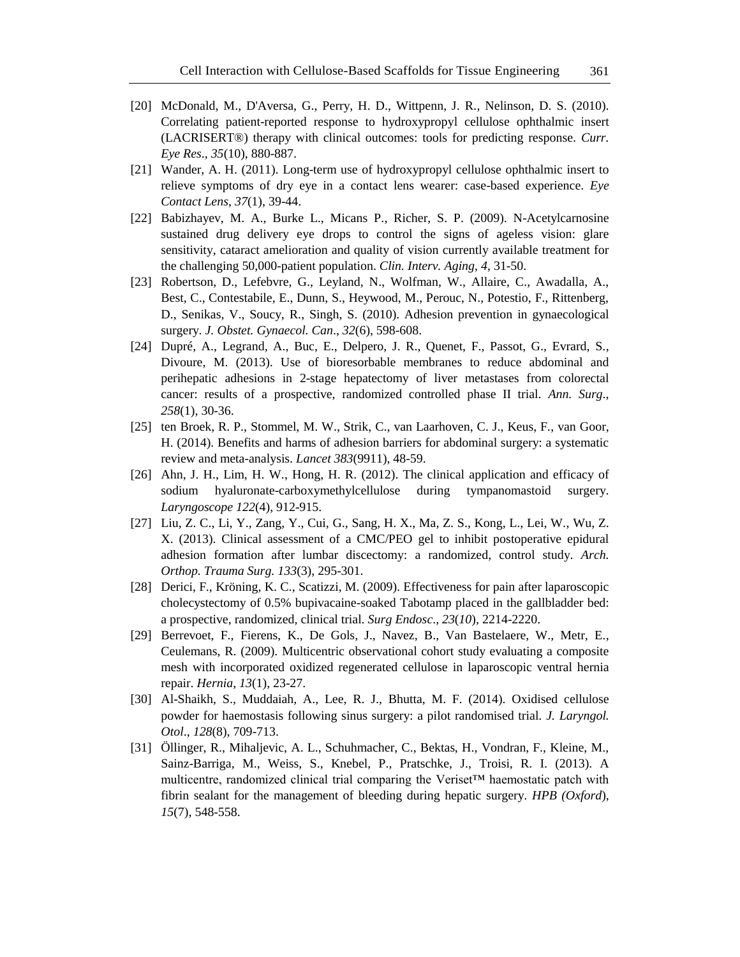- [20] McDonald, M., D'Aversa, G., Perry, H. D., Wittpenn, J. R., Nelinson, D. S. (2010). Correlating patient-reported response to hydroxypropyl cellulose ophthalmic insert (LACRISERT®) therapy with clinical outcomes: tools for predicting response. *Curr. Eye Res*., *35*(10), 880-887.
- [21] Wander, A. H. (2011). Long-term use of hydroxypropyl cellulose ophthalmic insert to relieve symptoms of dry eye in a contact lens wearer: case-based experience. *Eye Contact Lens*, *37*(1), 39-44.
- [22] Babizhayev, M. A., Burke L., Micans P., Richer, S. P. (2009). N-Acetylcarnosine sustained drug delivery eye drops to control the signs of ageless vision: glare sensitivity, cataract amelioration and quality of vision currently available treatment for the challenging 50,000-patient population. *Clin. Interv. Aging*, *4*, 31-50.
- [23] Robertson, D., Lefebvre, G., Leyland, N., Wolfman, W., Allaire, C., Awadalla, A., Best, C., Contestabile, E., Dunn, S., Heywood, M., Perouc, N., Potestio, F., Rittenberg, D., Senikas, V., Soucy, R., Singh, S. (2010). Adhesion prevention in gynaecological surgery. *J. Obstet. Gynaecol. Can*., *32*(6), 598-608.
- [24] Dupré, A., Legrand, A., Buc, E., Delpero, J. R., Quenet, F., Passot, G., Evrard, S., Divoure, M. (2013). Use of bioresorbable membranes to reduce abdominal and perihepatic adhesions in 2-stage hepatectomy of liver metastases from colorectal cancer: results of a prospective, randomized controlled phase II trial. *Ann. Surg*., *258*(1), 30-36.
- [25] ten Broek, R. P., Stommel, M. W., Strik, C., van Laarhoven, C. J., Keus, F., van Goor, H. (2014). Benefits and harms of adhesion barriers for abdominal surgery: a systematic review and meta-analysis. *Lancet 383*(9911), 48-59.
- [26] Ahn, J. H., Lim, H. W., Hong, H. R. (2012). The clinical application and efficacy of sodium hyaluronate-carboxymethylcellulose during tympanomastoid surgery. *Laryngoscope 122*(4), 912-915.
- [27] Liu, Z. C., Li, Y., Zang, Y., Cui, G., Sang, H. X., Ma, Z. S., Kong, L., Lei, W., Wu, Z. X. (2013). Clinical assessment of a CMC/PEO gel to inhibit postoperative epidural adhesion formation after lumbar discectomy: a randomized, control study. *Arch. Orthop. Trauma Surg. 133*(3), 295-301.
- [28] Derici, F., Kröning, K. C., Scatizzi, M. (2009). Effectiveness for pain after laparoscopic cholecystectomy of 0.5% bupivacaine-soaked Tabotamp placed in the gallbladder bed: a prospective, randomized, clinical trial. *Surg Endosc*., *23*(*10*), 2214-2220.
- [29] Berrevoet, F., Fierens, K., De Gols, J., Navez, B., Van Bastelaere, W., Metr, E., Ceulemans, R. (2009). Multicentric observational cohort study evaluating a composite mesh with incorporated oxidized regenerated cellulose in laparoscopic ventral hernia repair. *Hernia*, *13*(1), 23-27.
- [30] Al-Shaikh, S., Muddaiah, A., Lee, R. J., Bhutta, M. F. (2014). Oxidised cellulose powder for haemostasis following sinus surgery: a pilot randomised trial. *J. Laryngol. Otol*., *128*(8), 709-713.
- [31] Öllinger, R., Mihaljevic, A. L., Schuhmacher, C., Bektas, H., Vondran, F., Kleine, M., Sainz-Barriga, M., Weiss, S., Knebel, P., Pratschke, J., Troisi, R. I. (2013). A multicentre, randomized clinical trial comparing the Veriset™ haemostatic patch with fibrin sealant for the management of bleeding during hepatic surgery. *HPB (Oxford*), *15*(7), 548-558.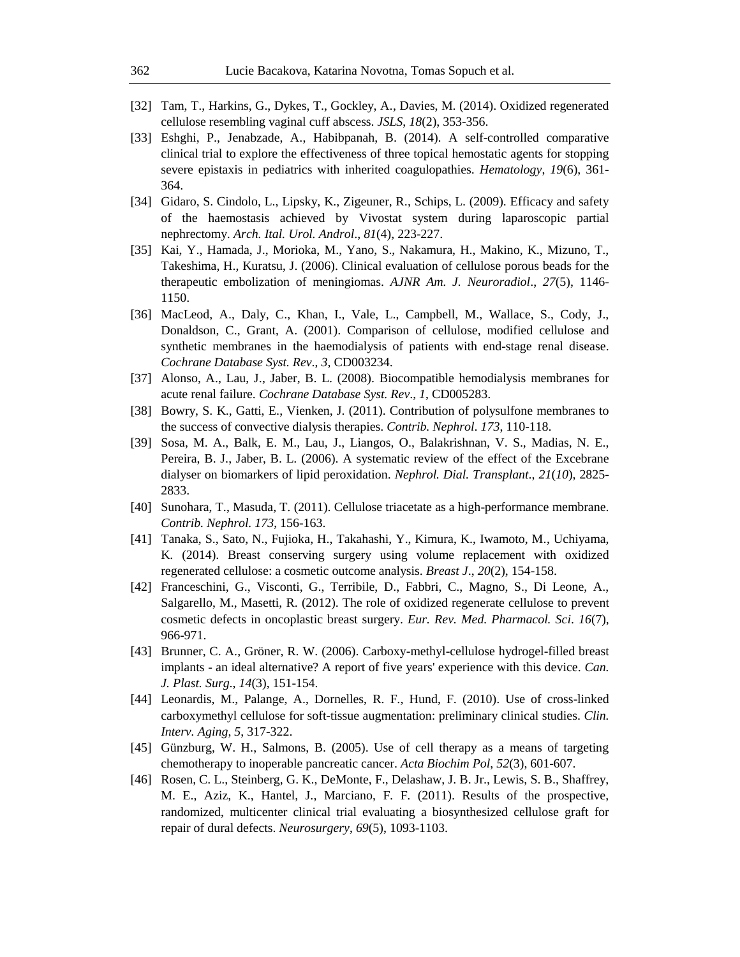- [32] Tam, T., Harkins, G., Dykes, T., Gockley, A., Davies, M. (2014). Oxidized regenerated cellulose resembling vaginal cuff abscess. *JSLS*, *18*(2), 353-356.
- [33] Eshghi, P., Jenabzade, A., Habibpanah, B. (2014). A self-controlled comparative clinical trial to explore the effectiveness of three topical hemostatic agents for stopping severe epistaxis in pediatrics with inherited coagulopathies. *Hematology*, *19*(6), 361- 364.
- [34] Gidaro, S. Cindolo, L., Lipsky, K., Zigeuner, R., Schips, L. (2009). Efficacy and safety of the haemostasis achieved by Vivostat system during laparoscopic partial nephrectomy. *Arch. Ital. Urol. Androl*., *81*(4), 223-227.
- [35] Kai, Y., Hamada, J., Morioka, M., Yano, S., Nakamura, H., Makino, K., Mizuno, T., Takeshima, H., Kuratsu, J. (2006). Clinical evaluation of cellulose porous beads for the therapeutic embolization of meningiomas. *AJNR Am. J. Neuroradiol*., *27*(5), 1146- 1150.
- [36] MacLeod, A., Daly, C., Khan, I., Vale, L., Campbell, M., Wallace, S., Cody, J., Donaldson, C., Grant, A. (2001). Comparison of cellulose, modified cellulose and synthetic membranes in the haemodialysis of patients with end-stage renal disease. *Cochrane Database Syst. Rev*., *3*, CD003234.
- [37] Alonso, A., Lau, J., Jaber, B. L. (2008). Biocompatible hemodialysis membranes for acute renal failure. *Cochrane Database Syst. Rev*., *1*, CD005283.
- [38] Bowry, S. K., Gatti, E., Vienken, J. (2011). Contribution of polysulfone membranes to the success of convective dialysis therapies. *Contrib. Nephrol*. *173*, 110-118.
- [39] Sosa, M. A., Balk, E. M., Lau, J., Liangos, O., Balakrishnan, V. S., Madias, N. E., Pereira, B. J., Jaber, B. L. (2006). A systematic review of the effect of the Excebrane dialyser on biomarkers of lipid peroxidation. *Nephrol. Dial. Transplant*., *21*(*10*), 2825- 2833.
- [40] Sunohara, T., Masuda, T. (2011). Cellulose triacetate as a high-performance membrane. *Contrib. Nephrol. 173*, 156-163.
- [41] Tanaka, S., Sato, N., Fujioka, H., Takahashi, Y., Kimura, K., Iwamoto, M., Uchiyama, K. (2014). Breast conserving surgery using volume replacement with oxidized regenerated cellulose: a cosmetic outcome analysis. *Breast J*., *20*(2), 154-158.
- [42] Franceschini, G., Visconti, G., Terribile, D., Fabbri, C., Magno, S., Di Leone, A., Salgarello, M., Masetti, R. (2012). The role of oxidized regenerate cellulose to prevent cosmetic defects in oncoplastic breast surgery. *Eur. Rev. Med. Pharmacol. Sci*. *16*(7), 966-971.
- [43] Brunner, C. A., Gröner, R. W. (2006). Carboxy-methyl-cellulose hydrogel-filled breast implants - an ideal alternative? A report of five years' experience with this device. *Can. J. Plast. Surg*., *14*(3), 151-154.
- [44] Leonardis, M., Palange, A., Dornelles, R. F., Hund, F. (2010). Use of cross-linked carboxymethyl cellulose for soft-tissue augmentation: preliminary clinical studies. *Clin. Interv. Aging*, *5*, 317-322.
- [45] Günzburg, W. H., Salmons, B. (2005). Use of cell therapy as a means of targeting chemotherapy to inoperable pancreatic cancer. *Acta Biochim Pol*, *52*(3), 601-607.
- [46] Rosen, C. L., Steinberg, G. K., DeMonte, F., Delashaw, J. B. Jr., Lewis, S. B., Shaffrey, M. E., Aziz, K., Hantel, J., Marciano, F. F. (2011). Results of the prospective, randomized, multicenter clinical trial evaluating a biosynthesized cellulose graft for repair of dural defects. *Neurosurgery*, *69*(5), 1093-1103.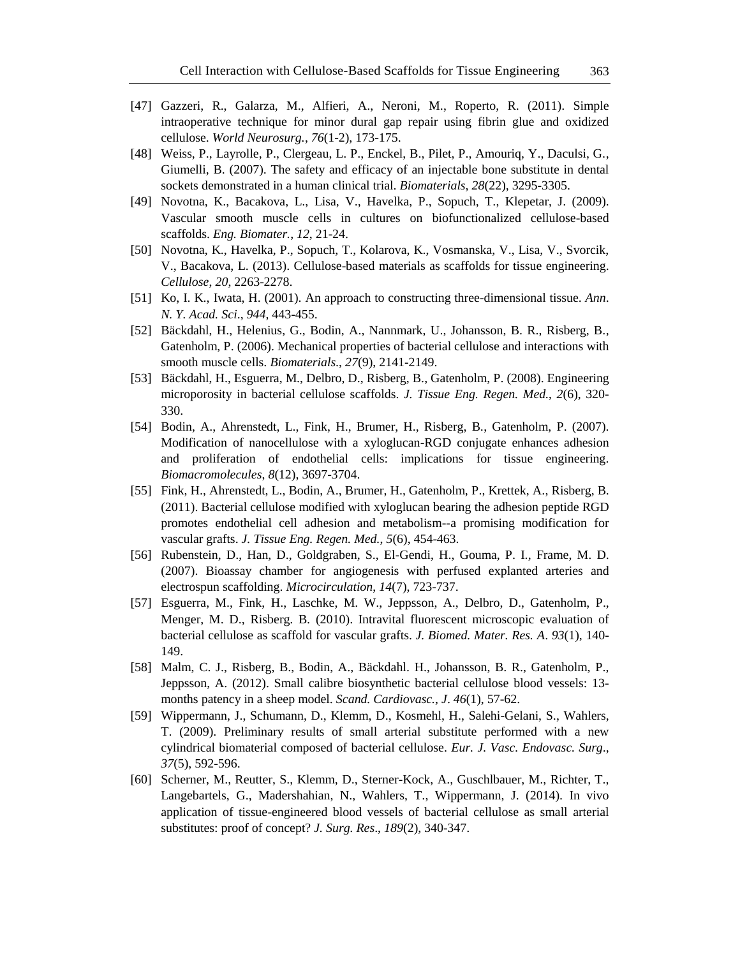- [47] Gazzeri, R., Galarza, M., Alfieri, A., Neroni, M., Roperto, R. (2011). Simple intraoperative technique for minor dural gap repair using fibrin glue and oxidized cellulose. *World Neurosurg.*, *76*(1-2), 173-175.
- [48] Weiss, P., Layrolle, P., Clergeau, L. P., Enckel, B., Pilet, P., Amouriq, Y., Daculsi, G., Giumelli, B. (2007). The safety and efficacy of an injectable bone substitute in dental sockets demonstrated in a human clinical trial. *Biomaterials*, *28*(22), 3295-3305.
- [49] Novotna, K., Bacakova, L., Lisa, V., Havelka, P., Sopuch, T., Klepetar, J. (2009). Vascular smooth muscle cells in cultures on biofunctionalized cellulose-based scaffolds. *Eng. Biomater.*, *12*, 21-24.
- [50] Novotna, K., Havelka, P., Sopuch, T., Kolarova, K., Vosmanska, V., Lisa, V., Svorcik, V., Bacakova, L. (2013). Cellulose-based materials as scaffolds for tissue engineering. *Cellulose*, *20*, 2263-2278.
- [51] Ko, I. K., Iwata, H. (2001). An approach to constructing three-dimensional tissue. *Ann*. *N. Y. Acad. Sci*., *944*, 443-455.
- [52] Bäckdahl, H., Helenius, G., Bodin, A., Nannmark, U., Johansson, B. R., Risberg, B., Gatenholm, P. (2006). Mechanical properties of bacterial cellulose and interactions with smooth muscle cells. *Biomaterials*., *27*(9), 2141-2149.
- [53] Bäckdahl, H., Esguerra, M., Delbro, D., Risberg, B., Gatenholm, P. (2008). Engineering microporosity in bacterial cellulose scaffolds. *J. Tissue Eng. Regen. Med.*, *2*(6), 320- 330.
- [54] Bodin, A., Ahrenstedt, L., Fink, H., Brumer, H., Risberg, B., Gatenholm, P. (2007). Modification of nanocellulose with a xyloglucan-RGD conjugate enhances adhesion and proliferation of endothelial cells: implications for tissue engineering. *Biomacromolecules*, *8*(12), 3697-3704.
- [55] Fink, H., Ahrenstedt, L., Bodin, A., Brumer, H., Gatenholm, P., Krettek, A., Risberg, B. (2011). Bacterial cellulose modified with xyloglucan bearing the adhesion peptide RGD promotes endothelial cell adhesion and metabolism--a promising modification for vascular grafts. *J. Tissue Eng. Regen. Med.*, *5*(6), 454-463.
- [56] Rubenstein, D., Han, D., Goldgraben, S., El-Gendi, H., Gouma, P. I., Frame, M. D. (2007). Bioassay chamber for angiogenesis with perfused explanted arteries and electrospun scaffolding. *Microcirculation*, *14*(7), 723-737.
- [57] Esguerra, M., Fink, H., Laschke, M. W., Jeppsson, A., Delbro, D., Gatenholm, P., Menger, M. D., Risberg. B. (2010). Intravital fluorescent microscopic evaluation of bacterial cellulose as scaffold for vascular grafts. *J. Biomed. Mater. Res. A*. *93*(1), 140- 149.
- [58] Malm, C. J., Risberg, B., Bodin, A., Bäckdahl. H., Johansson, B. R., Gatenholm, P., Jeppsson, A. (2012). Small calibre biosynthetic bacterial cellulose blood vessels: 13 months patency in a sheep model. *Scand. Cardiovasc.*, *J*. *46*(1), 57-62.
- [59] Wippermann, J., Schumann, D., Klemm, D., Kosmehl, H., Salehi-Gelani, S., Wahlers, T. (2009). Preliminary results of small arterial substitute performed with a new cylindrical biomaterial composed of bacterial cellulose. *Eur. J. Vasc. Endovasc. Surg*., *37*(5), 592-596.
- [60] Scherner, M., Reutter, S., Klemm, D., Sterner-Kock, A., Guschlbauer, M., Richter, T., Langebartels, G., Madershahian, N., Wahlers, T., Wippermann, J. (2014). In vivo application of tissue-engineered blood vessels of bacterial cellulose as small arterial substitutes: proof of concept? *J. Surg. Res*., *189*(2), 340-347.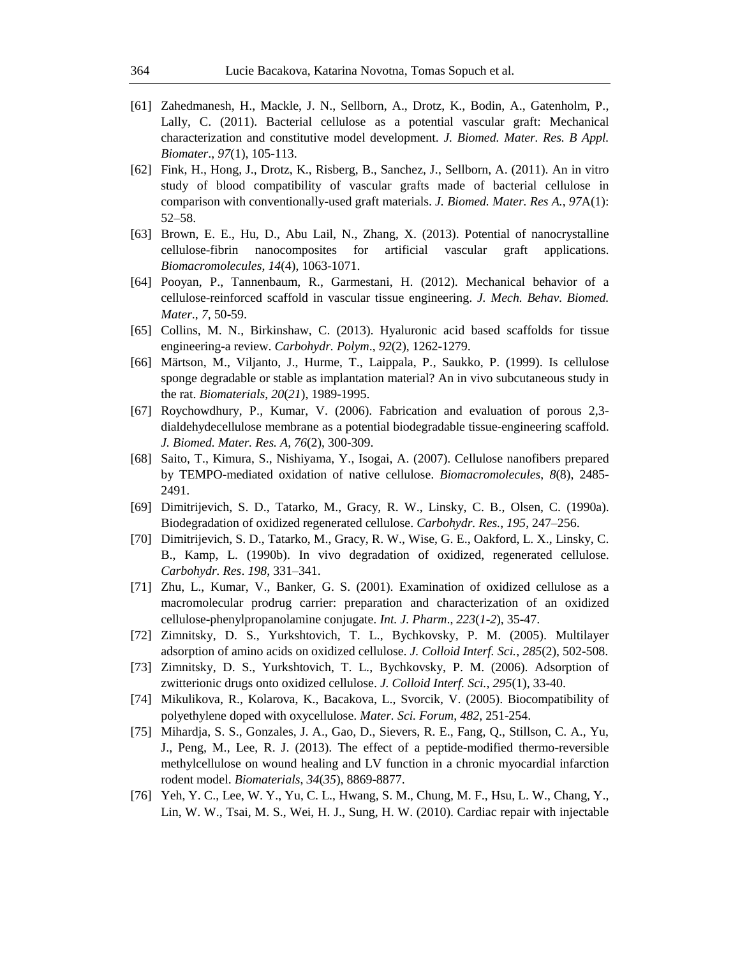- [61] Zahedmanesh, H., Mackle, J. N., Sellborn, A., Drotz, K., Bodin, A., Gatenholm, P., Lally, C. (2011). Bacterial cellulose as a potential vascular graft: Mechanical characterization and constitutive model development. *J. Biomed. Mater. Res. B Appl. Biomater*., *97*(1), 105-113.
- [62] Fink, H., Hong, J., Drotz, K., Risberg, B., Sanchez, J., Sellborn, A. (2011). An in vitro study of blood compatibility of vascular grafts made of bacterial cellulose in comparison with conventionally-used graft materials. *J. Biomed. Mater. Res A.*, *97*A(1): 52–58.
- [63] Brown, E. E., Hu, D., Abu Lail, N., Zhang, X. (2013). Potential of nanocrystalline cellulose-fibrin nanocomposites for artificial vascular graft applications. *Biomacromolecules*, *14*(4), 1063-1071.
- [64] Pooyan, P., Tannenbaum, R., Garmestani, H. (2012). Mechanical behavior of a cellulose-reinforced scaffold in vascular tissue engineering. *J. Mech. Behav. Biomed. Mater*., *7*, 50-59.
- [65] Collins, M. N., Birkinshaw, C. (2013). Hyaluronic acid based scaffolds for tissue engineering-a review. *Carbohydr. Polym*., *92*(2), 1262-1279.
- [66] Märtson, M., Viljanto, J., Hurme, T., Laippala, P., Saukko, P. (1999). Is cellulose sponge degradable or stable as implantation material? An in vivo subcutaneous study in the rat. *Biomaterials*, *20*(*21*), 1989-1995.
- [67] Roychowdhury, P., Kumar, V. (2006). Fabrication and evaluation of porous 2,3 dialdehydecellulose membrane as a potential biodegradable tissue-engineering scaffold. *J. Biomed. Mater. Res. A*, *76*(2), 300-309.
- [68] Saito, T., Kimura, S., Nishiyama, Y., Isogai, A. (2007). Cellulose nanofibers prepared by TEMPO-mediated oxidation of native cellulose. *Biomacromolecules*, *8*(8), 2485- 2491.
- [69] Dimitrijevich, S. D., Tatarko, M., Gracy, R. W., Linsky, C. B., Olsen, C. (1990a). Biodegradation of oxidized regenerated cellulose. *Carbohydr. Res.*, *195*, 247–256.
- [70] Dimitrijevich, S. D., Tatarko, M., Gracy, R. W., Wise, G. E., Oakford, L. X., Linsky, C. B., Kamp, L. (1990b). In vivo degradation of oxidized, regenerated cellulose. *Carbohydr. Res*. *198*, 331–341.
- [71] Zhu, L., Kumar, V., Banker, G. S. (2001). Examination of oxidized cellulose as a macromolecular prodrug carrier: preparation and characterization of an oxidized cellulose-phenylpropanolamine conjugate. *Int. J. Pharm*., *223*(*1*-*2*), 35-47.
- [72] Zimnitsky, D. S., Yurkshtovich, T. L., Bychkovsky, P. M. (2005). Multilayer adsorption of amino acids on oxidized cellulose. *J. Colloid Interf. Sci.*, *285*(2), 502-508.
- [73] Zimnitsky, D. S., Yurkshtovich, T. L., Bychkovsky, P. M. (2006). Adsorption of zwitterionic drugs onto oxidized cellulose. *J. Colloid Interf. Sci.*, *295*(1), 33-40.
- [74] Mikulikova, R., Kolarova, K., Bacakova, L., Svorcik, V. (2005). Biocompatibility of polyethylene doped with oxycellulose. *Mater. Sci. Forum*, *482*, 251-254.
- [75] Mihardja, S. S., Gonzales, J. A., Gao, D., Sievers, R. E., Fang, Q., Stillson, C. A., Yu, J., Peng, M., Lee, R. J. (2013). The effect of a peptide-modified thermo-reversible methylcellulose on wound healing and LV function in a chronic myocardial infarction rodent model. *Biomaterials*, *34*(*35*), 8869-8877.
- [76] Yeh, Y. C., Lee, W. Y., Yu, C. L., Hwang, S. M., Chung, M. F., Hsu, L. W., Chang, Y., Lin, W. W., Tsai, M. S., Wei, H. J., Sung, H. W. (2010). Cardiac repair with injectable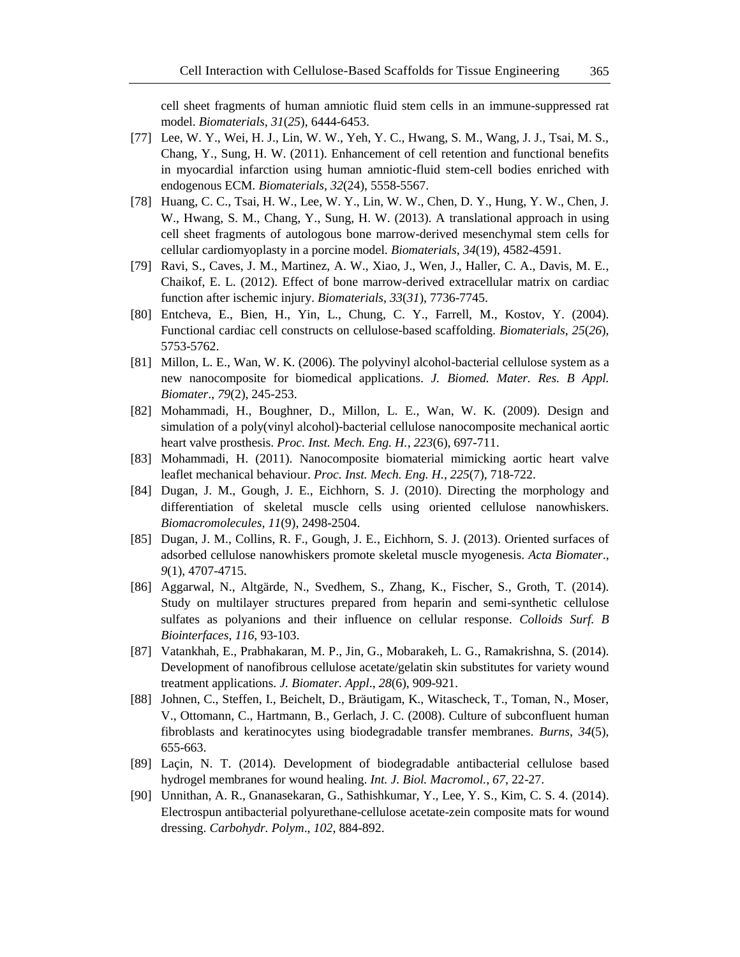cell sheet fragments of human amniotic fluid stem cells in an immune-suppressed rat model. *Biomaterials*, *31*(*25*), 6444-6453.

- [77] Lee, W. Y., Wei, H. J., Lin, W. W., Yeh, Y. C., Hwang, S. M., Wang, J. J., Tsai, M. S., Chang, Y., Sung, H. W. (2011). Enhancement of cell retention and functional benefits in myocardial infarction using human amniotic-fluid stem-cell bodies enriched with endogenous ECM. *Biomaterials*, *32*(24), 5558-5567.
- [78] Huang, C. C., Tsai, H. W., Lee, W. Y., Lin, W. W., Chen, D. Y., Hung, Y. W., Chen, J. W., Hwang, S. M., Chang, Y., Sung, H. W. (2013). A translational approach in using cell sheet fragments of autologous bone marrow-derived mesenchymal stem cells for cellular cardiomyoplasty in a porcine model. *Biomaterials*, *34*(19), 4582-4591.
- [79] Ravi, S., Caves, J. M., Martinez, A. W., Xiao, J., Wen, J., Haller, C. A., Davis, M. E., Chaikof, E. L. (2012). Effect of bone marrow-derived extracellular matrix on cardiac function after ischemic injury. *Biomaterials*, *33*(*31*), 7736-7745.
- [80] Entcheva, E., Bien, H., Yin, L., Chung, C. Y., Farrell, M., Kostov, Y. (2004). Functional cardiac cell constructs on cellulose-based scaffolding. *Biomaterials*, *25*(*26*), 5753-5762.
- [81] Millon, L. E., Wan, W. K. (2006). The polyvinyl alcohol-bacterial cellulose system as a new nanocomposite for biomedical applications. *J. Biomed. Mater. Res. B Appl. Biomater*., *79*(2), 245-253.
- [82] Mohammadi, H., Boughner, D., Millon, L. E., Wan, W. K. (2009). Design and simulation of a poly(vinyl alcohol)-bacterial cellulose nanocomposite mechanical aortic heart valve prosthesis. *Proc. Inst. Mech. Eng. H.*, *223*(6), 697-711.
- [83] Mohammadi, H. (2011). Nanocomposite biomaterial mimicking aortic heart valve leaflet mechanical behaviour. *Proc. Inst. Mech. Eng. H.*, *225*(7), 718-722.
- [84] Dugan, J. M., Gough, J. E., Eichhorn, S. J. (2010). Directing the morphology and differentiation of skeletal muscle cells using oriented cellulose nanowhiskers. *Biomacromolecules*, *11*(9), 2498-2504.
- [85] Dugan, J. M., Collins, R. F., Gough, J. E., Eichhorn, S. J. (2013). Oriented surfaces of adsorbed cellulose nanowhiskers promote skeletal muscle myogenesis. *Acta Biomater*., *9*(1), 4707-4715.
- [86] Aggarwal, N., Altgärde, N., Svedhem, S., Zhang, K., Fischer, S., Groth, T. (2014). Study on multilayer structures prepared from heparin and semi-synthetic cellulose sulfates as polyanions and their influence on cellular response. *Colloids Surf. B Biointerfaces*, *116*, 93-103.
- [87] Vatankhah, E., Prabhakaran, M. P., Jin, G., Mobarakeh, L. G., Ramakrishna, S. (2014). Development of nanofibrous cellulose acetate/gelatin skin substitutes for variety wound treatment applications. *J. Biomater. Appl*., *28*(6), 909-921.
- [88] Johnen, C., Steffen, I., Beichelt, D., Bräutigam, K., Witascheck, T., Toman, N., Moser, V., Ottomann, C., Hartmann, B., Gerlach, J. C. (2008). Culture of subconfluent human fibroblasts and keratinocytes using biodegradable transfer membranes. *Burns*, *34*(5), 655-663.
- [89] Laçin, N. T. (2014). Development of biodegradable antibacterial cellulose based hydrogel membranes for wound healing. *Int. J. Biol. Macromol.*, *67*, 22-27.
- [90] Unnithan, A. R., Gnanasekaran, G., Sathishkumar, Y., Lee, Y. S., Kim, C. S. 4. (2014). Electrospun antibacterial polyurethane-cellulose acetate-zein composite mats for wound dressing. *Carbohydr. Polym*., *102*, 884-892.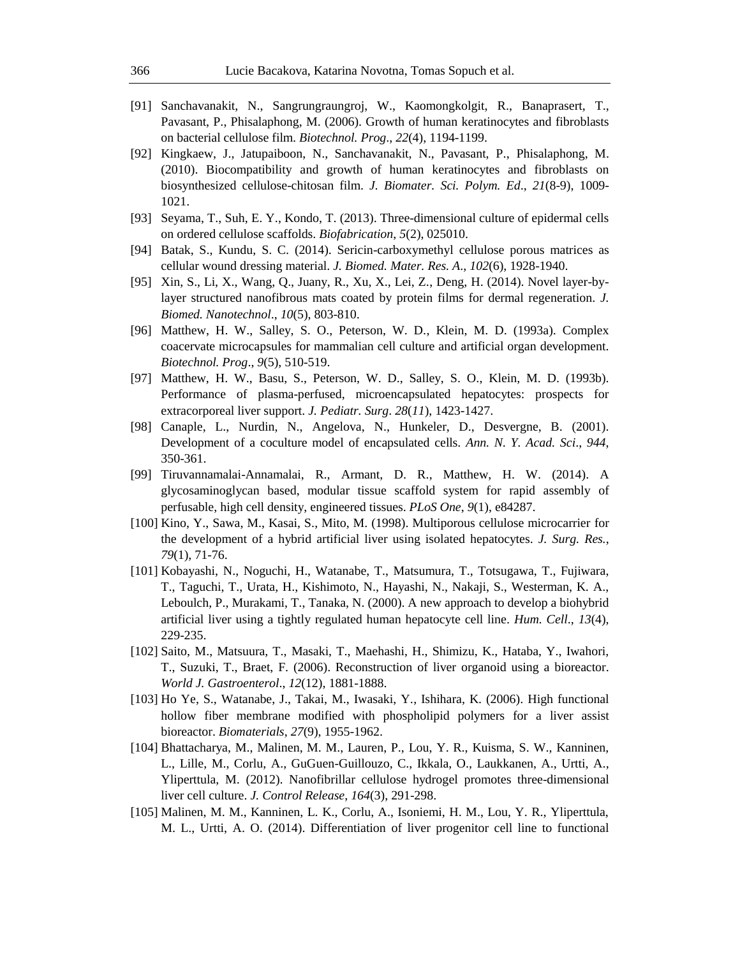- [91] Sanchavanakit, N., Sangrungraungroj, W., Kaomongkolgit, R., Banaprasert, T., Pavasant, P., Phisalaphong, M. (2006). Growth of human keratinocytes and fibroblasts on bacterial cellulose film. *Biotechnol. Prog*., *22*(4), 1194-1199.
- [92] Kingkaew, J., Jatupaiboon, N., Sanchavanakit, N., Pavasant, P., Phisalaphong, M. (2010). Biocompatibility and growth of human keratinocytes and fibroblasts on biosynthesized cellulose-chitosan film. *J. Biomater. Sci. Polym. Ed*., *21*(8-9), 1009- 1021.
- [93] Seyama, T., Suh, E. Y., Kondo, T. (2013). Three-dimensional culture of epidermal cells on ordered cellulose scaffolds. *Biofabrication*, *5*(2), 025010.
- [94] Batak, S., Kundu, S. C. (2014). Sericin-carboxymethyl cellulose porous matrices as cellular wound dressing material. *J. Biomed. Mater. Res. A*., *102*(6), 1928-1940.
- [95] Xin, S., Li, X., Wang, Q., Juany, R., Xu, X., Lei, Z., Deng, H. (2014). Novel layer-bylayer structured nanofibrous mats coated by protein films for dermal regeneration. *J. Biomed. Nanotechnol*., *10*(5), 803-810.
- [96] Matthew, H. W., Salley, S. O., Peterson, W. D., Klein, M. D. (1993a). Complex coacervate microcapsules for mammalian cell culture and artificial organ development. *Biotechnol. Prog*., *9*(5), 510-519.
- [97] Matthew, H. W., Basu, S., Peterson, W. D., Salley, S. O., Klein, M. D. (1993b). Performance of plasma-perfused, microencapsulated hepatocytes: prospects for extracorporeal liver support. *J. Pediatr. Surg*. *28*(*11*), 1423-1427.
- [98] Canaple, L., Nurdin, N., Angelova, N., Hunkeler, D., Desvergne, B. (2001). Development of a coculture model of encapsulated cells. *Ann. N. Y. Acad. Sci*., *944*, 350-361.
- [99] Tiruvannamalai-Annamalai, R., Armant, D. R., Matthew, H. W. (2014). A glycosaminoglycan based, modular tissue scaffold system for rapid assembly of perfusable, high cell density, engineered tissues. *PLoS One*, *9*(1), e84287.
- [100] Kino, Y., Sawa, M., Kasai, S., Mito, M. (1998). Multiporous cellulose microcarrier for the development of a hybrid artificial liver using isolated hepatocytes. *J. Surg. Res.*, *79*(1), 71-76.
- [101] Kobayashi, N., Noguchi, H., Watanabe, T., Matsumura, T., Totsugawa, T., Fujiwara, T., Taguchi, T., Urata, H., Kishimoto, N., Hayashi, N., Nakaji, S., Westerman, K. A., Leboulch, P., Murakami, T., Tanaka, N. (2000). A new approach to develop a biohybrid artificial liver using a tightly regulated human hepatocyte cell line. *Hum. Cell*., *13*(4), 229-235.
- [102] Saito, M., Matsuura, T., Masaki, T., Maehashi, H., Shimizu, K., Hataba, Y., Iwahori, T., Suzuki, T., Braet, F. (2006). Reconstruction of liver organoid using a bioreactor. *World J. Gastroenterol*., *12*(12), 1881-1888.
- [103] Ho Ye, S., Watanabe, J., Takai, M., Iwasaki, Y., Ishihara, K. (2006). High functional hollow fiber membrane modified with phospholipid polymers for a liver assist bioreactor. *Biomaterials*, *27*(9), 1955-1962.
- [104] Bhattacharya, M., Malinen, M. M., Lauren, P., Lou, Y. R., Kuisma, S. W., Kanninen, L., Lille, M., Corlu, A., GuGuen-Guillouzo, C., Ikkala, O., Laukkanen, A., Urtti, A., Yliperttula, M. (2012). Nanofibrillar cellulose hydrogel promotes three-dimensional liver cell culture. *J. Control Release*, *164*(3), 291-298.
- [105] Malinen, M. M., Kanninen, L. K., Corlu, A., Isoniemi, H. M., Lou, Y. R., Yliperttula, M. L., Urtti, A. O. (2014). Differentiation of liver progenitor cell line to functional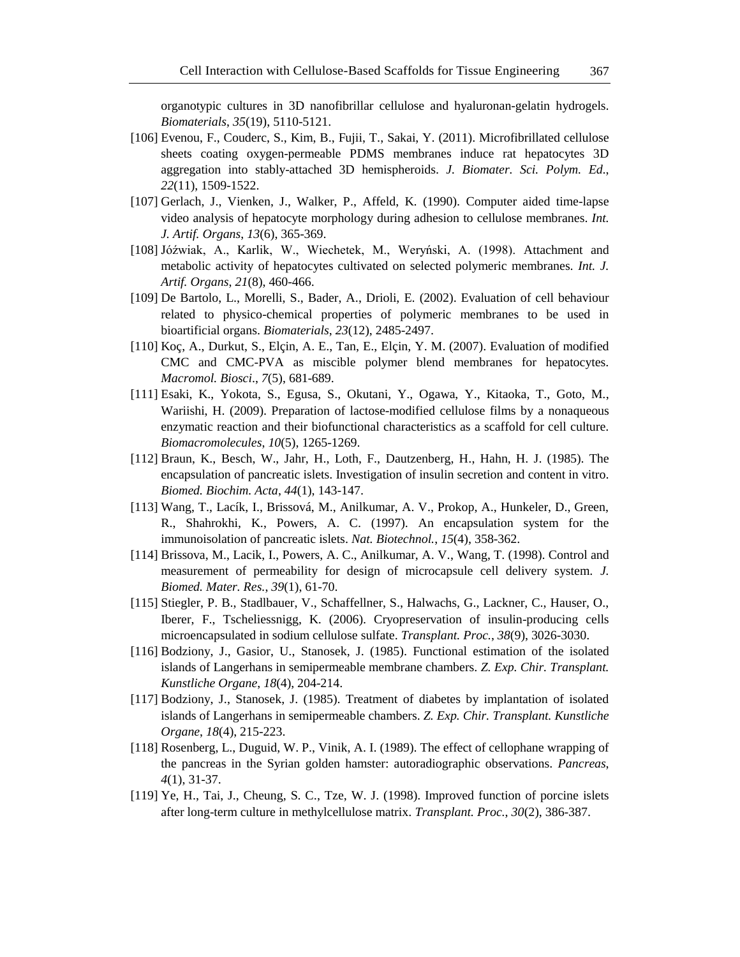organotypic cultures in 3D nanofibrillar cellulose and hyaluronan-gelatin hydrogels. *Biomaterials*, *35*(19), 5110-5121.

- [106] Evenou, F., Couderc, S., Kim, B., Fujii, T., Sakai, Y. (2011). Microfibrillated cellulose sheets coating oxygen-permeable PDMS membranes induce rat hepatocytes 3D aggregation into stably-attached 3D hemispheroids. *J. Biomater. Sci. Polym. Ed*., *22*(11), 1509-1522.
- [107] Gerlach, J., Vienken, J., Walker, P., Affeld, K. (1990). Computer aided time-lapse video analysis of hepatocyte morphology during adhesion to cellulose membranes. *Int. J. Artif. Organs*, *13*(6), 365-369.
- [108] Jóźwiak, A., Karlik, W., Wiechetek, M., Weryński, A. (1998). Attachment and metabolic activity of hepatocytes cultivated on selected polymeric membranes. *Int. J. Artif. Organs*, *21*(8), 460-466.
- [109] De Bartolo, L., Morelli, S., Bader, A., Drioli, E. (2002). Evaluation of cell behaviour related to physico-chemical properties of polymeric membranes to be used in bioartificial organs. *Biomaterials*, *23*(12), 2485-2497.
- [110] Koç, A., Durkut, S., Elçin, A. E., Tan, E., Elçin, Y. M. (2007). Evaluation of modified CMC and CMC-PVA as miscible polymer blend membranes for hepatocytes. *Macromol. Biosci*., *7*(5), 681-689.
- [111] Esaki, K., Yokota, S., Egusa, S., Okutani, Y., Ogawa, Y., Kitaoka, T., Goto, M., Wariishi, H. (2009). Preparation of lactose-modified cellulose films by a nonaqueous enzymatic reaction and their biofunctional characteristics as a scaffold for cell culture. *Biomacromolecules*, *10*(5), 1265-1269.
- [112] Braun, K., Besch, W., Jahr, H., Loth, F., Dautzenberg, H., Hahn, H. J. (1985). The encapsulation of pancreatic islets. Investigation of insulin secretion and content in vitro. *Biomed. Biochim. Acta*, *44*(1), 143-147.
- [113] Wang, T., Lacík, I., Brissová, M., Anilkumar, A. V., Prokop, A., Hunkeler, D., Green, R., Shahrokhi, K., Powers, A. C. (1997). An encapsulation system for the immunoisolation of pancreatic islets. *Nat. Biotechnol.*, *15*(4), 358-362.
- [114] Brissova, M., Lacik, I., Powers, A. C., Anilkumar, A. V., Wang, T. (1998). Control and measurement of permeability for design of microcapsule cell delivery system. *J. Biomed. Mater. Res.*, *39*(1), 61-70.
- [115] Stiegler, P. B., Stadlbauer, V., Schaffellner, S., Halwachs, G., Lackner, C., Hauser, O., Iberer, F., Tscheliessnigg, K. (2006). Cryopreservation of insulin-producing cells microencapsulated in sodium cellulose sulfate. *Transplant. Proc.*, *38*(9), 3026-3030.
- [116] Bodziony, J., Gasior, U., Stanosek, J. (1985). Functional estimation of the isolated islands of Langerhans in semipermeable membrane chambers. *Z. Exp. Chir. Transplant. Kunstliche Organe*, *18*(4), 204-214.
- [117] Bodziony, J., Stanosek, J. (1985). Treatment of diabetes by implantation of isolated islands of Langerhans in semipermeable chambers. *Z. Exp. Chir. Transplant. Kunstliche Organe*, *18*(4), 215-223.
- [118] Rosenberg, L., Duguid, W. P., Vinik, A. I. (1989). The effect of cellophane wrapping of the pancreas in the Syrian golden hamster: autoradiographic observations. *Pancreas*, *4*(1), 31-37.
- [119] Ye, H., Tai, J., Cheung, S. C., Tze, W. J. (1998). Improved function of porcine islets after long-term culture in methylcellulose matrix. *Transplant. Proc.*, *30*(2), 386-387.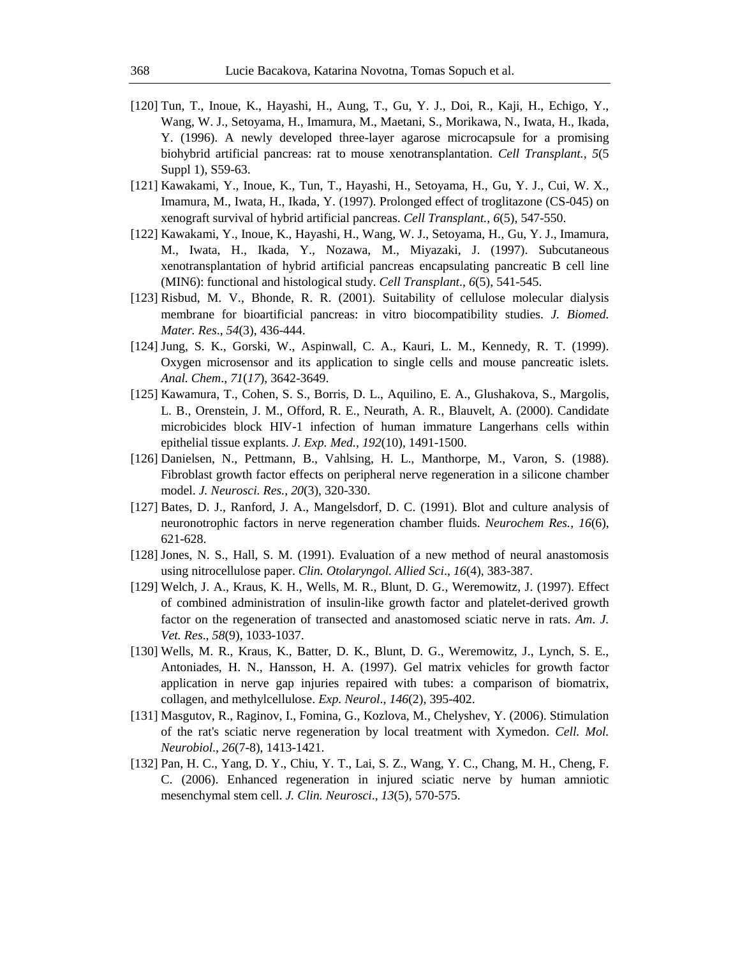- [120] Tun, T., Inoue, K., Hayashi, H., Aung, T., Gu, Y. J., Doi, R., Kaji, H., Echigo, Y., Wang, W. J., Setoyama, H., Imamura, M., Maetani, S., Morikawa, N., Iwata, H., Ikada, Y. (1996). A newly developed three-layer agarose microcapsule for a promising biohybrid artificial pancreas: rat to mouse xenotransplantation. *Cell Transplant.*, *5*(5 Suppl 1), S59-63.
- [121] Kawakami, Y., Inoue, K., Tun, T., Hayashi, H., Setoyama, H., Gu, Y. J., Cui, W. X., Imamura, M., Iwata, H., Ikada, Y. (1997). Prolonged effect of troglitazone (CS-045) on xenograft survival of hybrid artificial pancreas. *Cell Transplant.*, *6*(5), 547-550.
- [122] Kawakami, Y., Inoue, K., Hayashi, H., Wang, W. J., Setoyama, H., Gu, Y. J., Imamura, M., Iwata, H., Ikada, Y., Nozawa, M., Miyazaki, J. (1997). Subcutaneous xenotransplantation of hybrid artificial pancreas encapsulating pancreatic B cell line (MIN6): functional and histological study. *Cell Transplant*., *6*(5), 541-545.
- [123] Risbud, M. V., Bhonde, R. R. (2001). Suitability of cellulose molecular dialysis membrane for bioartificial pancreas: in vitro biocompatibility studies. *J. Biomed. Mater. Res*., *54*(3), 436-444.
- [124] Jung, S. K., Gorski, W., Aspinwall, C. A., Kauri, L. M., Kennedy, R. T. (1999). Oxygen microsensor and its application to single cells and mouse pancreatic islets. *Anal. Chem*., *71*(*17*), 3642-3649.
- [125] Kawamura, T., Cohen, S. S., Borris, D. L., Aquilino, E. A., Glushakova, S., Margolis, L. B., Orenstein, J. M., Offord, R. E., Neurath, A. R., Blauvelt, A. (2000). Candidate microbicides block HIV-1 infection of human immature Langerhans cells within epithelial tissue explants. *J. Exp. Med.*, *192*(10), 1491-1500.
- [126] Danielsen, N., Pettmann, B., Vahlsing, H. L., Manthorpe, M., Varon, S. (1988). Fibroblast growth factor effects on peripheral nerve regeneration in a silicone chamber model. *J. Neurosci. Res.*, *20*(3), 320-330.
- [127] Bates, D. J., Ranford, J. A., Mangelsdorf, D. C. (1991). Blot and culture analysis of neuronotrophic factors in nerve regeneration chamber fluids. *Neurochem Res.*, *16*(6), 621-628.
- [128] Jones, N. S., Hall, S. M. (1991). Evaluation of a new method of neural anastomosis using nitrocellulose paper. *Clin. Otolaryngol. Allied Sci*., *16*(4), 383-387.
- [129] Welch, J. A., Kraus, K. H., Wells, M. R., Blunt, D. G., Weremowitz, J. (1997). Effect of combined administration of insulin-like growth factor and platelet-derived growth factor on the regeneration of transected and anastomosed sciatic nerve in rats. *Am. J. Vet. Res*., *58*(9), 1033-1037.
- [130] Wells, M. R., Kraus, K., Batter, D. K., Blunt, D. G., Weremowitz, J., Lynch, S. E., Antoniades, H. N., Hansson, H. A. (1997). Gel matrix vehicles for growth factor application in nerve gap injuries repaired with tubes: a comparison of biomatrix, collagen, and methylcellulose. *Exp. Neurol*., *146*(2), 395-402.
- [131] Masgutov, R., Raginov, I., Fomina, G., Kozlova, M., Chelyshev, Y. (2006). Stimulation of the rat's sciatic nerve regeneration by local treatment with Xymedon. *Cell. Mol. Neurobiol*., *26*(7-8), 1413-1421.
- [132] Pan, H. C., Yang, D. Y., Chiu, Y. T., Lai, S. Z., Wang, Y. C., Chang, M. H., Cheng, F. C. (2006). Enhanced regeneration in injured sciatic nerve by human amniotic mesenchymal stem cell. *J. Clin. Neurosci*., *13*(5), 570-575.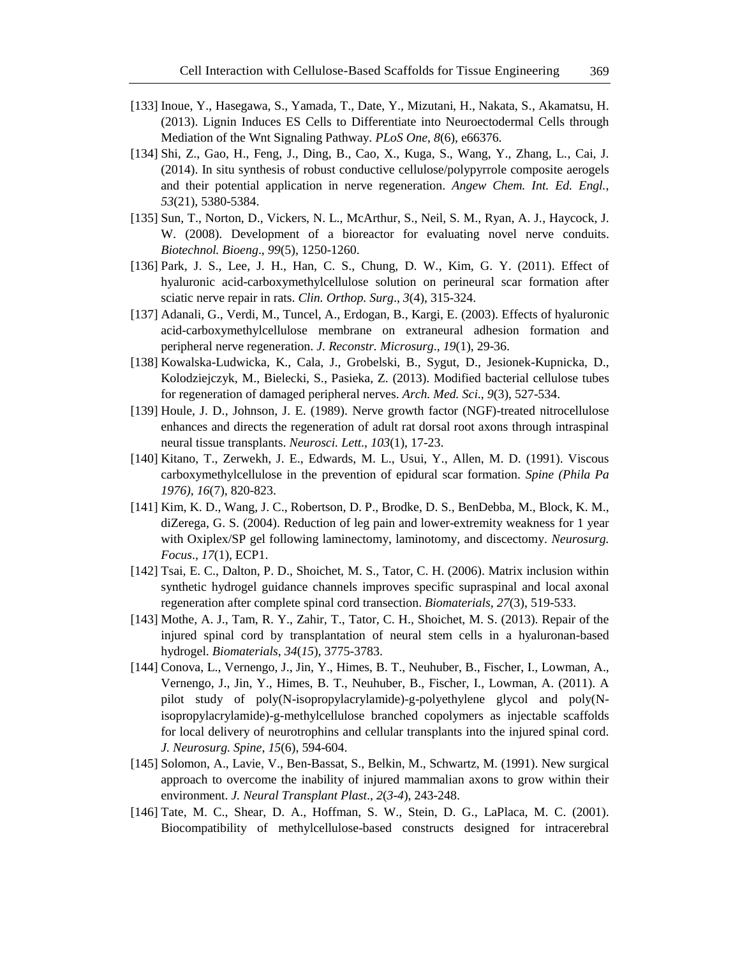- [133] Inoue, Y., Hasegawa, S., Yamada, T., Date, Y., Mizutani, H., Nakata, S., Akamatsu, H. (2013). Lignin Induces ES Cells to Differentiate into Neuroectodermal Cells through Mediation of the Wnt Signaling Pathway. *PLoS One*, *8*(6), e66376.
- [134] Shi, Z., Gao, H., Feng, J., Ding, B., Cao, X., Kuga, S., Wang, Y., Zhang, L., Cai, J. (2014). In situ synthesis of robust conductive cellulose/polypyrrole composite aerogels and their potential application in nerve regeneration. *Angew Chem. Int. Ed. Engl.*, *53*(21), 5380-5384.
- [135] Sun, T., Norton, D., Vickers, N. L., McArthur, S., Neil, S. M., Ryan, A. J., Haycock, J. W. (2008). Development of a bioreactor for evaluating novel nerve conduits. *Biotechnol. Bioeng*., *99*(5), 1250-1260.
- [136] Park, J. S., Lee, J. H., Han, C. S., Chung, D. W., Kim, G. Y. (2011). Effect of hyaluronic acid-carboxymethylcellulose solution on perineural scar formation after sciatic nerve repair in rats. *Clin. Orthop. Surg*., *3*(4), 315-324.
- [137] Adanali, G., Verdi, M., Tuncel, A., Erdogan, B., Kargi, E. (2003). Effects of hyaluronic acid-carboxymethylcellulose membrane on extraneural adhesion formation and peripheral nerve regeneration. *J. Reconstr. Microsurg*., *19*(1), 29-36.
- [138] Kowalska-Ludwicka, K., Cala, J., Grobelski, B., Sygut, D., Jesionek-Kupnicka, D., Kolodziejczyk, M., Bielecki, S., Pasieka, Z. (2013). Modified bacterial cellulose tubes for regeneration of damaged peripheral nerves. *Arch. Med. Sci*., *9*(3), 527-534.
- [139] Houle, J. D., Johnson, J. E. (1989). Nerve growth factor (NGF)-treated nitrocellulose enhances and directs the regeneration of adult rat dorsal root axons through intraspinal neural tissue transplants. *Neurosci. Lett*., *103*(1), 17-23.
- [140] Kitano, T., Zerwekh, J. E., Edwards, M. L., Usui, Y., Allen, M. D. (1991). Viscous carboxymethylcellulose in the prevention of epidural scar formation. *Spine (Phila Pa 1976)*, *16*(7), 820-823.
- [141] Kim, K. D., Wang, J. C., Robertson, D. P., Brodke, D. S., BenDebba, M., Block, K. M., diZerega, G. S. (2004). Reduction of leg pain and lower-extremity weakness for 1 year with Oxiplex/SP gel following laminectomy, laminotomy, and discectomy. *Neurosurg. Focus*., *17*(1), ECP1.
- [142] Tsai, E. C., Dalton, P. D., Shoichet, M. S., Tator, C. H. (2006). Matrix inclusion within synthetic hydrogel guidance channels improves specific supraspinal and local axonal regeneration after complete spinal cord transection. *Biomaterials*, *27*(3), 519-533.
- [143] Mothe, A. J., Tam, R. Y., Zahir, T., Tator, C. H., Shoichet, M. S. (2013). Repair of the injured spinal cord by transplantation of neural stem cells in a hyaluronan-based hydrogel. *Biomaterials*, *34*(*15*), 3775-3783.
- [144] Conova, L., Vernengo, J., Jin, Y., Himes, B. T., Neuhuber, B., Fischer, I., Lowman, A., Vernengo, J., Jin, Y., Himes, B. T., Neuhuber, B., Fischer, I., Lowman, A. (2011). A pilot study of poly(N-isopropylacrylamide)-g-polyethylene glycol and poly(Nisopropylacrylamide)-g-methylcellulose branched copolymers as injectable scaffolds for local delivery of neurotrophins and cellular transplants into the injured spinal cord. *J. Neurosurg. Spine*, *15*(6), 594-604.
- [145] Solomon, A., Lavie, V., Ben-Bassat, S., Belkin, M., Schwartz, M. (1991). New surgical approach to overcome the inability of injured mammalian axons to grow within their environment. *J. Neural Transplant Plast*., *2*(*3*-*4*), 243-248.
- [146] Tate, M. C., Shear, D. A., Hoffman, S. W., Stein, D. G., LaPlaca, M. C. (2001). Biocompatibility of methylcellulose-based constructs designed for intracerebral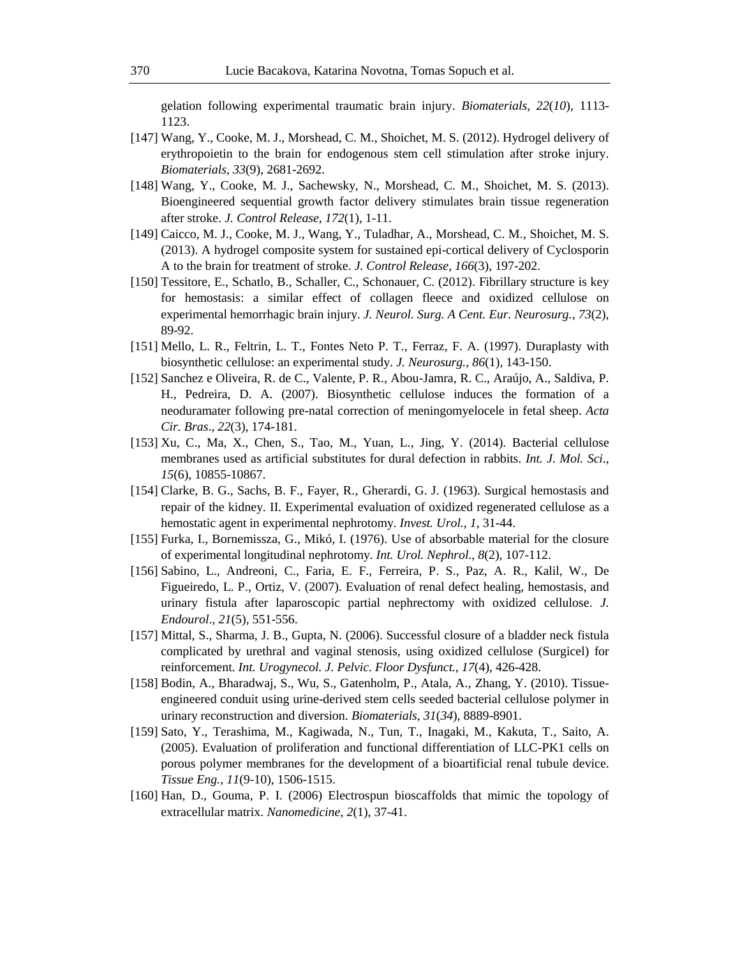gelation following experimental traumatic brain injury. *Biomaterials*, *22*(*10*), 1113- 1123.

- [147] Wang, Y., Cooke, M. J., Morshead, C. M., Shoichet, M. S. (2012). Hydrogel delivery of erythropoietin to the brain for endogenous stem cell stimulation after stroke injury. *Biomaterials*, *33*(9), 2681-2692.
- [148] Wang, Y., Cooke, M. J., Sachewsky, N., Morshead, C. M., Shoichet, M. S. (2013). Bioengineered sequential growth factor delivery stimulates brain tissue regeneration after stroke. *J. Control Release*, *172*(1), 1-11.
- [149] Caicco, M. J., Cooke, M. J., Wang, Y., Tuladhar, A., Morshead, C. M., Shoichet, M. S. (2013). A hydrogel composite system for sustained epi-cortical delivery of Cyclosporin A to the brain for treatment of stroke. *J. Control Release*, *166*(3), 197-202.
- [150] Tessitore, E., Schatlo, B., Schaller, C., Schonauer, C. (2012). Fibrillary structure is key for hemostasis: a similar effect of collagen fleece and oxidized cellulose on experimental hemorrhagic brain injury. *J. Neurol. Surg. A Cent. Eur. Neurosurg.*, *73*(2), 89-92.
- [151] Mello, L. R., Feltrin, L. T., Fontes Neto P. T., Ferraz, F. A. (1997). Duraplasty with biosynthetic cellulose: an experimental study. *J. Neurosurg.*, *86*(1), 143-150.
- [152] Sanchez e Oliveira, R. de C., Valente, P. R., Abou-Jamra, R. C., Araújo, A., Saldiva, P. H., Pedreira, D. A. (2007). Biosynthetic cellulose induces the formation of a neoduramater following pre-natal correction of meningomyelocele in fetal sheep. *Acta Cir. Bras*., *22*(3), 174-181.
- [153] Xu, C., Ma, X., Chen, S., Tao, M., Yuan, L., Jing, Y. (2014). Bacterial cellulose membranes used as artificial substitutes for dural defection in rabbits. *Int. J. Mol. Sci*., *15*(6), 10855-10867.
- [154] Clarke, B. G., Sachs, B. F., Fayer, R., Gherardi, G. J. (1963). Surgical hemostasis and repair of the kidney. II. Experimental evaluation of oxidized regenerated cellulose as a hemostatic agent in experimental nephrotomy. *Invest. Urol.*, *1*, 31-44.
- [155] Furka, I., Bornemissza, G., Mikó, I. (1976). Use of absorbable material for the closure of experimental longitudinal nephrotomy. *Int. Urol. Nephrol*., *8*(2), 107-112.
- [156] Sabino, L., Andreoni, C., Faria, E. F., Ferreira, P. S., Paz, A. R., Kalil, W., De Figueiredo, L. P., Ortiz, V. (2007). Evaluation of renal defect healing, hemostasis, and urinary fistula after laparoscopic partial nephrectomy with oxidized cellulose. *J. Endourol*., *21*(5), 551-556.
- [157] Mittal, S., Sharma, J. B., Gupta, N. (2006). Successful closure of a bladder neck fistula complicated by urethral and vaginal stenosis, using oxidized cellulose (Surgicel) for reinforcement. *Int. Urogynecol. J. Pelvic. Floor Dysfunct.*, *17*(4), 426-428.
- [158] Bodin, A., Bharadwaj, S., Wu, S., Gatenholm, P., Atala, A., Zhang, Y. (2010). Tissueengineered conduit using urine-derived stem cells seeded bacterial cellulose polymer in urinary reconstruction and diversion. *Biomaterials*, *31*(*34*), 8889-8901.
- [159] Sato, Y., Terashima, M., Kagiwada, N., Tun, T., Inagaki, M., Kakuta, T., Saito, A. (2005). Evaluation of proliferation and functional differentiation of LLC-PK1 cells on porous polymer membranes for the development of a bioartificial renal tubule device. *Tissue Eng.*, *11*(9-10), 1506-1515.
- [160] Han, D., Gouma, P. I. (2006) Electrospun bioscaffolds that mimic the topology of extracellular matrix. *Nanomedicine*, *2*(1), 37-41.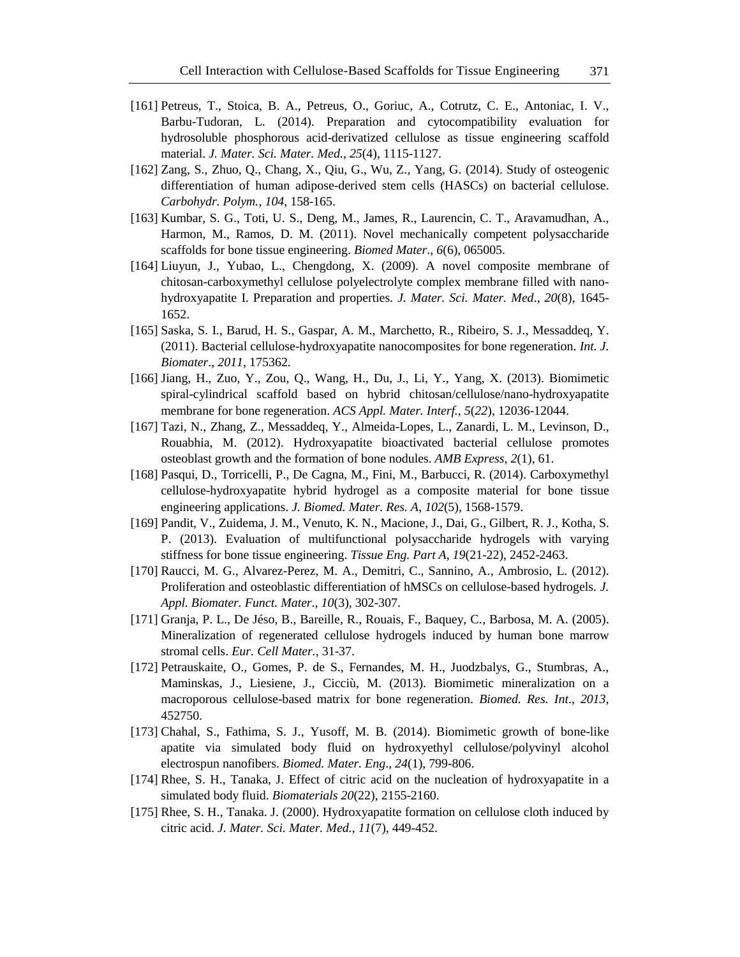- [161] Petreus, T., Stoica, B. A., Petreus, O., Goriuc, A., Cotrutz, C. E., Antoniac, I. V., Barbu-Tudoran, L. (2014). Preparation and cytocompatibility evaluation for hydrosoluble phosphorous acid-derivatized cellulose as tissue engineering scaffold material. *J. Mater. Sci. Mater. Med.*, *25*(4), 1115-1127.
- [162] Zang, S., Zhuo, Q., Chang, X., Qiu, G., Wu, Z., Yang, G. (2014). Study of osteogenic differentiation of human adipose-derived stem cells (HASCs) on bacterial cellulose. *Carbohydr. Polym.*, *104*, 158-165.
- [163] Kumbar, S. G., Toti, U. S., Deng, M., James, R., Laurencin, C. T., Aravamudhan, A., Harmon, M., Ramos, D. M. (2011). Novel mechanically competent polysaccharide scaffolds for bone tissue engineering. *Biomed Mater*., *6*(6), 065005.
- [164] Liuyun, J., Yubao, L., Chengdong, X. (2009). A novel composite membrane of chitosan-carboxymethyl cellulose polyelectrolyte complex membrane filled with nanohydroxyapatite I. Preparation and properties. *J. Mater. Sci. Mater. Med*., *20*(8), 1645- 1652.
- [165] Saska, S. I., Barud, H. S., Gaspar, A. M., Marchetto, R., Ribeiro, S. J., Messaddeq, Y. (2011). Bacterial cellulose-hydroxyapatite nanocomposites for bone regeneration. *Int. J. Biomater*., *2011*, 175362.
- [166] Jiang, H., Zuo, Y., Zou, Q., Wang, H., Du, J., Li, Y., Yang, X. (2013). Biomimetic spiral-cylindrical scaffold based on hybrid chitosan/cellulose/nano-hydroxyapatite membrane for bone regeneration. *ACS Appl. Mater. Interf.*, *5*(*22*), 12036-12044.
- [167] Tazi, N., Zhang, Z., Messaddeq, Y., Almeida-Lopes, L., Zanardi, L. M., Levinson, D., Rouabhia, M. (2012). Hydroxyapatite bioactivated bacterial cellulose promotes osteoblast growth and the formation of bone nodules. *AMB Express*, *2*(1), 61.
- [168] Pasqui, D., Torricelli, P., De Cagna, M., Fini, M., Barbucci, R. (2014). Carboxymethyl cellulose-hydroxyapatite hybrid hydrogel as a composite material for bone tissue engineering applications. *J. Biomed. Mater. Res. A*, *102*(5), 1568-1579.
- [169] Pandit, V., Zuidema, J. M., Venuto, K. N., Macione, J., Dai, G., Gilbert, R. J., Kotha, S. P. (2013). Evaluation of multifunctional polysaccharide hydrogels with varying stiffness for bone tissue engineering. *Tissue Eng. Part A*, *19*(21-22), 2452-2463.
- [170] Raucci, M. G., Alvarez-Perez, M. A., Demitri, C., Sannino, A., Ambrosio, L. (2012). Proliferation and osteoblastic differentiation of hMSCs on cellulose-based hydrogels. *J. Appl. Biomater. Funct. Mater*., *10*(3), 302-307.
- [171] Granja, P. L., De Jéso, B., Bareille, R., Rouais, F., Baquey, C., Barbosa, M. A. (2005). Mineralization of regenerated cellulose hydrogels induced by human bone marrow stromal cells. *Eur. Cell Mater.*, 31-37.
- [172] Petrauskaite, O., Gomes, P. de S., Fernandes, M. H., Juodzbalys, G., Stumbras, A., Maminskas, J., Liesiene, J., Cicciù, M. (2013). Biomimetic mineralization on a macroporous cellulose-based matrix for bone regeneration. *Biomed. Res. Int*., *2013*, 452750.
- [173] Chahal, S., Fathima, S. J., Yusoff, M. B. (2014). Biomimetic growth of bone-like apatite via simulated body fluid on hydroxyethyl cellulose/polyvinyl alcohol electrospun nanofibers. *Biomed. Mater. Eng*., *24*(1), 799-806.
- [174] Rhee, S. H., Tanaka, J. Effect of citric acid on the nucleation of hydroxyapatite in a simulated body fluid. *Biomaterials 20*(22), 2155-2160.
- [175] Rhee, S. H., Tanaka. J. (2000). Hydroxyapatite formation on cellulose cloth induced by citric acid. *J. Mater. Sci. Mater. Med.*, *11*(7), 449-452.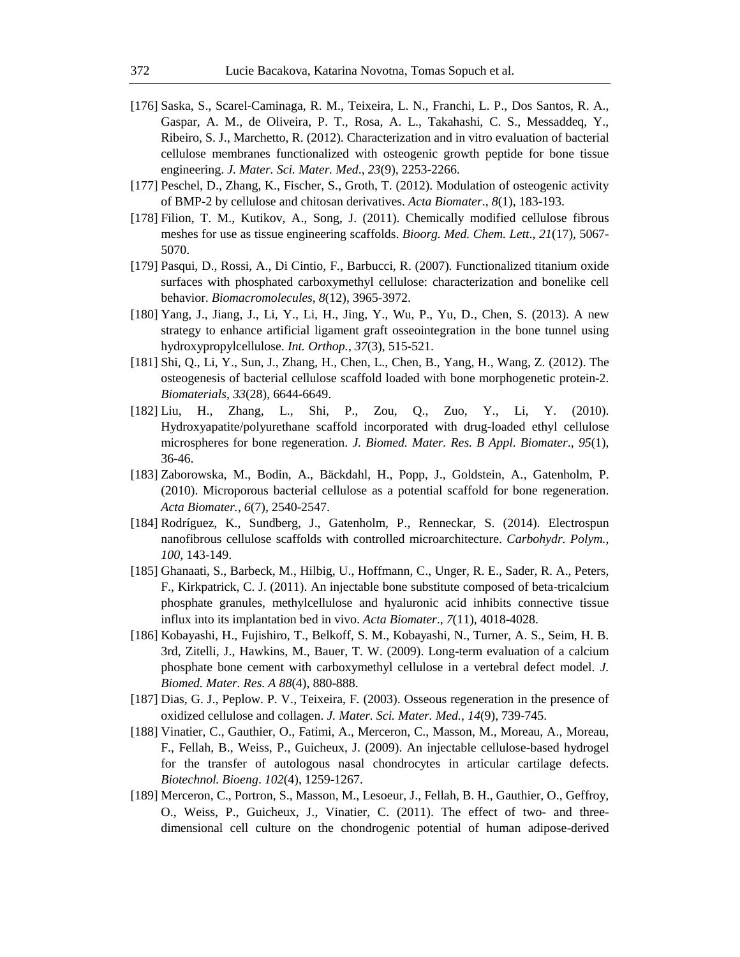- [176] Saska, S., Scarel-Caminaga, R. M., Teixeira, L. N., Franchi, L. P., Dos Santos, R. A., Gaspar, A. M., de Oliveira, P. T., Rosa, A. L., Takahashi, C. S., Messaddeq, Y., Ribeiro, S. J., Marchetto, R. (2012). Characterization and in vitro evaluation of bacterial cellulose membranes functionalized with osteogenic growth peptide for bone tissue engineering. *J. Mater. Sci. Mater. Med*., *23*(9), 2253-2266.
- [177] Peschel, D., Zhang, K., Fischer, S., Groth, T. (2012). Modulation of osteogenic activity of BMP-2 by cellulose and chitosan derivatives. *Acta Biomater*., *8*(1), 183-193.
- [178] Filion, T. M., Kutikov, A., Song, J. (2011). Chemically modified cellulose fibrous meshes for use as tissue engineering scaffolds. *Bioorg. Med. Chem. Lett*., *21*(17), 5067- 5070.
- [179] Pasqui, D., Rossi, A., Di Cintio, F., Barbucci, R. (2007). Functionalized titanium oxide surfaces with phosphated carboxymethyl cellulose: characterization and bonelike cell behavior. *Biomacromolecules*, *8*(12), 3965-3972.
- [180] Yang, J., Jiang, J., Li, Y., Li, H., Jing, Y., Wu, P., Yu, D., Chen, S. (2013). A new strategy to enhance artificial ligament graft osseointegration in the bone tunnel using hydroxypropylcellulose. *Int. Orthop.*, *37*(3), 515-521.
- [181] Shi, Q., Li, Y., Sun, J., Zhang, H., Chen, L., Chen, B., Yang, H., Wang, Z. (2012). The osteogenesis of bacterial cellulose scaffold loaded with bone morphogenetic protein-2. *Biomaterials*, *33*(28), 6644-6649.
- [182] Liu, H., Zhang, L., Shi, P., Zou, Q., Zuo, Y., Li, Y. (2010). Hydroxyapatite/polyurethane scaffold incorporated with drug-loaded ethyl cellulose microspheres for bone regeneration. *J. Biomed. Mater. Res. B Appl. Biomater*., *95*(1), 36-46.
- [183] Zaborowska, M., Bodin, A., Bäckdahl, H., Popp, J., Goldstein, A., Gatenholm, P. (2010). Microporous bacterial cellulose as a potential scaffold for bone regeneration. *Acta Biomater.*, *6*(7), 2540-2547.
- [184] Rodríguez, K., Sundberg, J., Gatenholm, P., Renneckar, S. (2014). Electrospun nanofibrous cellulose scaffolds with controlled microarchitecture. *Carbohydr. Polym.*, *100*, 143-149.
- [185] Ghanaati, S., Barbeck, M., Hilbig, U., Hoffmann, C., Unger, R. E., Sader, R. A., Peters, F., Kirkpatrick, C. J. (2011). An injectable bone substitute composed of beta-tricalcium phosphate granules, methylcellulose and hyaluronic acid inhibits connective tissue influx into its implantation bed in vivo. *Acta Biomater*., *7*(11), 4018-4028.
- [186] Kobayashi, H., Fujishiro, T., Belkoff, S. M., Kobayashi, N., Turner, A. S., Seim, H. B. 3rd, Zitelli, J., Hawkins, M., Bauer, T. W. (2009). Long-term evaluation of a calcium phosphate bone cement with carboxymethyl cellulose in a vertebral defect model. *J. Biomed. Mater. Res. A 88*(4), 880-888.
- [187] Dias, G. J., Peplow. P. V., Teixeira, F. (2003). Osseous regeneration in the presence of oxidized cellulose and collagen. *J. Mater. Sci. Mater. Med.*, *14*(9), 739-745.
- [188] Vinatier, C., Gauthier, O., Fatimi, A., Merceron, C., Masson, M., Moreau, A., Moreau, F., Fellah, B., Weiss, P., Guicheux, J. (2009). An injectable cellulose-based hydrogel for the transfer of autologous nasal chondrocytes in articular cartilage defects. *Biotechnol. Bioeng*. *102*(4), 1259-1267.
- [189] Merceron, C., Portron, S., Masson, M., Lesoeur, J., Fellah, B. H., Gauthier, O., Geffroy, O., Weiss, P., Guicheux, J., Vinatier, C. (2011). The effect of two- and threedimensional cell culture on the chondrogenic potential of human adipose-derived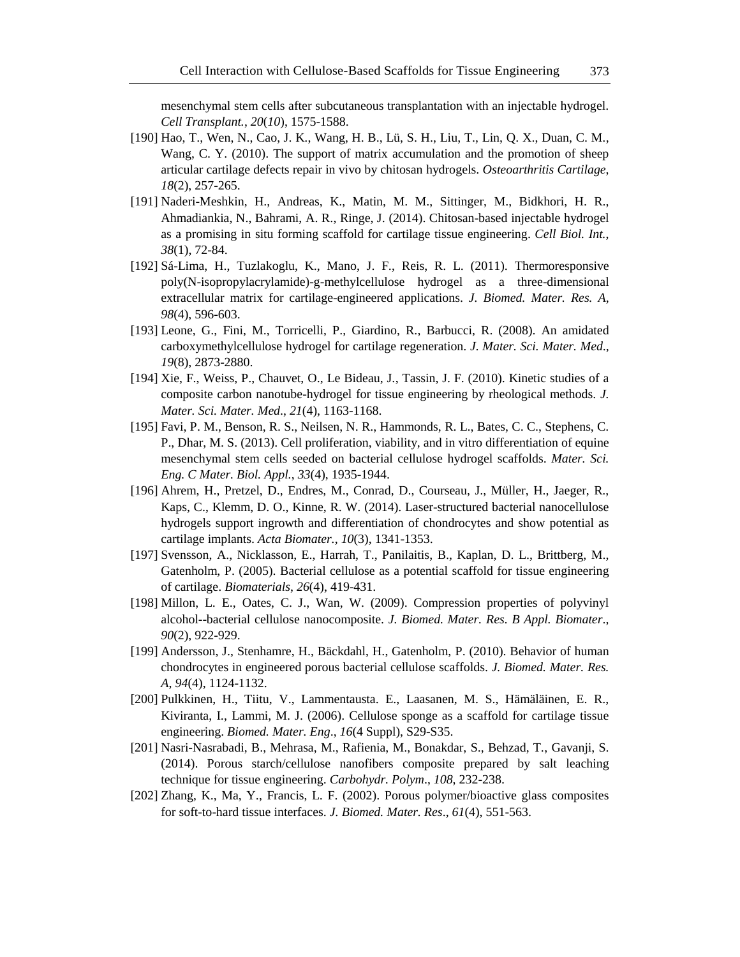mesenchymal stem cells after subcutaneous transplantation with an injectable hydrogel. *Cell Transplant.*, *20*(*10*), 1575-1588.

- [190] Hao, T., Wen, N., Cao, J. K., Wang, H. B., Lü, S. H., Liu, T., Lin, Q. X., Duan, C. M., Wang, C. Y. (2010). The support of matrix accumulation and the promotion of sheep articular cartilage defects repair in vivo by chitosan hydrogels. *Osteoarthritis Cartilage*, *18*(2), 257-265.
- [191] Naderi-Meshkin, H., Andreas, K., Matin, M. M., Sittinger, M., Bidkhori, H. R., Ahmadiankia, N., Bahrami, A. R., Ringe, J. (2014). Chitosan-based injectable hydrogel as a promising in situ forming scaffold for cartilage tissue engineering. *Cell Biol. Int.*, *38*(1), 72-84.
- [192] Sá-Lima, H., Tuzlakoglu, K., Mano, J. F., Reis, R. L. (2011). Thermoresponsive poly(N-isopropylacrylamide)-g-methylcellulose hydrogel as a three-dimensional extracellular matrix for cartilage-engineered applications. *J. Biomed. Mater. Res. A*, *98*(4), 596-603.
- [193] Leone, G., Fini, M., Torricelli, P., Giardino, R., Barbucci, R. (2008). An amidated carboxymethylcellulose hydrogel for cartilage regeneration. *J. Mater. Sci. Mater. Med*., *19*(8), 2873-2880.
- [194] Xie, F., Weiss, P., Chauvet, O., Le Bideau, J., Tassin, J. F. (2010). Kinetic studies of a composite carbon nanotube-hydrogel for tissue engineering by rheological methods. *J. Mater. Sci. Mater. Med*., *21*(4), 1163-1168.
- [195] Favi, P. M., Benson, R. S., Neilsen, N. R., Hammonds, R. L., Bates, C. C., Stephens, C. P., Dhar, M. S. (2013). Cell proliferation, viability, and in vitro differentiation of equine mesenchymal stem cells seeded on bacterial cellulose hydrogel scaffolds. *Mater. Sci. Eng. C Mater. Biol. Appl.*, *33*(4), 1935-1944.
- [196] Ahrem, H., Pretzel, D., Endres, M., Conrad, D., Courseau, J., Müller, H., Jaeger, R., Kaps, C., Klemm, D. O., Kinne, R. W. (2014). Laser-structured bacterial nanocellulose hydrogels support ingrowth and differentiation of chondrocytes and show potential as cartilage implants. *Acta Biomater.*, *10*(3), 1341-1353.
- [197] Svensson, A., Nicklasson, E., Harrah, T., Panilaitis, B., Kaplan, D. L., Brittberg, M., Gatenholm, P. (2005). Bacterial cellulose as a potential scaffold for tissue engineering of cartilage. *Biomaterials*, *26*(4), 419-431.
- [198] Millon, L. E., Oates, C. J., Wan, W. (2009). Compression properties of polyvinyl alcohol--bacterial cellulose nanocomposite. *J. Biomed. Mater. Res. B Appl. Biomater*., *90*(2), 922-929.
- [199] Andersson, J., Stenhamre, H., Bäckdahl, H., Gatenholm, P. (2010). Behavior of human chondrocytes in engineered porous bacterial cellulose scaffolds. *J. Biomed. Mater. Res. A*, *94*(4), 1124-1132.
- [200] Pulkkinen, H., Tiitu, V., Lammentausta. E., Laasanen, M. S., Hämäläinen, E. R., Kiviranta, I., Lammi, M. J. (2006). Cellulose sponge as a scaffold for cartilage tissue engineering. *Biomed. Mater. Eng*., *16*(4 Suppl), S29-S35.
- [201] Nasri-Nasrabadi, B., Mehrasa, M., Rafienia, M., Bonakdar, S., Behzad, T., Gavanji, S. (2014). Porous starch/cellulose nanofibers composite prepared by salt leaching technique for tissue engineering. *Carbohydr. Polym*., *108*, 232-238.
- [202] Zhang, K., Ma, Y., Francis, L. F. (2002). Porous polymer/bioactive glass composites for soft-to-hard tissue interfaces. *J. Biomed. Mater. Res*., *61*(4), 551-563.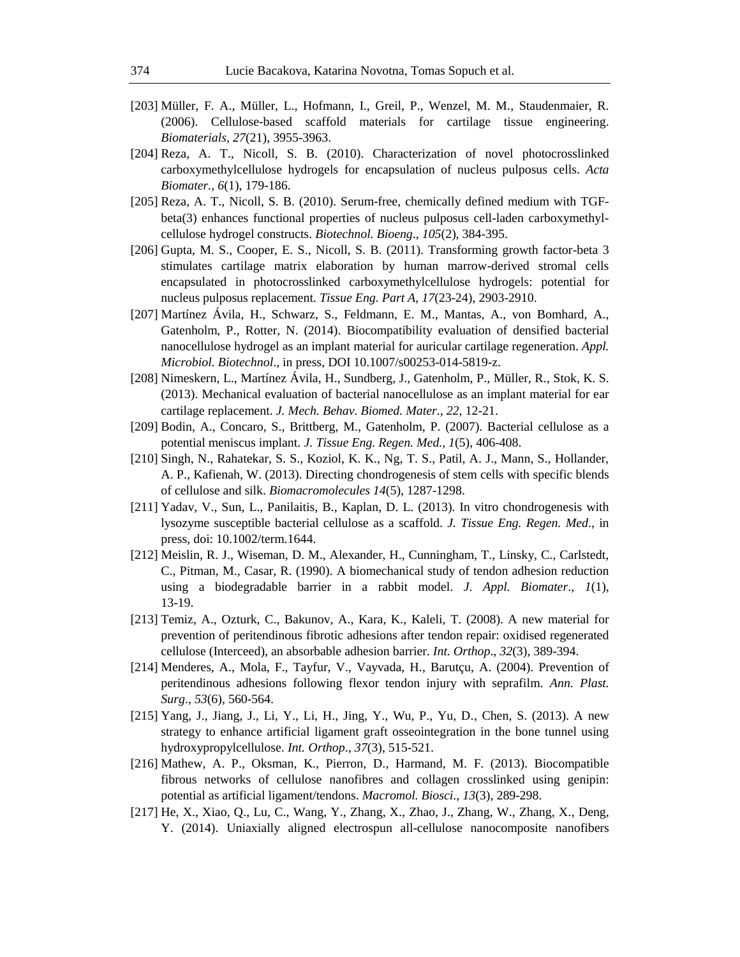- [203] Müller, F. A., Müller, L., Hofmann, I., Greil, P., Wenzel, M. M., Staudenmaier, R. (2006). Cellulose-based scaffold materials for cartilage tissue engineering. *Biomaterials*, *27*(21), 3955-3963.
- [204] Reza, A. T., Nicoll, S. B. (2010). Characterization of novel photocrosslinked carboxymethylcellulose hydrogels for encapsulation of nucleus pulposus cells. *Acta Biomater.*, *6*(1), 179-186.
- [205] Reza, A. T., Nicoll, S. B. (2010). Serum-free, chemically defined medium with TGFbeta(3) enhances functional properties of nucleus pulposus cell-laden carboxymethylcellulose hydrogel constructs. *Biotechnol. Bioeng*., *105*(2), 384-395.
- [206] Gupta, M. S., Cooper, E. S., Nicoll, S. B. (2011). Transforming growth factor-beta 3 stimulates cartilage matrix elaboration by human marrow-derived stromal cells encapsulated in photocrosslinked carboxymethylcellulose hydrogels: potential for nucleus pulposus replacement. *Tissue Eng. Part A*, *17*(23-24), 2903-2910.
- [207] Martínez Ávila, H., Schwarz, S., Feldmann, E. M., Mantas, A., von Bomhard, A., Gatenholm, P., Rotter, N. (2014). Biocompatibility evaluation of densified bacterial nanocellulose hydrogel as an implant material for auricular cartilage regeneration. *Appl. Microbiol. Biotechnol*., in press, DOI 10.1007/s00253-014-5819-z.
- [208] Nimeskern, L., Martínez Ávila, H., Sundberg, J., Gatenholm, P., Müller, R., Stok, K. S. (2013). Mechanical evaluation of bacterial nanocellulose as an implant material for ear cartilage replacement. *J. Mech. Behav. Biomed. Mater*., *22*, 12-21.
- [209] Bodin, A., Concaro, S., Brittberg, M., Gatenholm, P. (2007). Bacterial cellulose as a potential meniscus implant. *J. Tissue Eng. Regen. Med.*, *1*(5), 406-408.
- [210] Singh, N., Rahatekar, S. S., Koziol, K. K., Ng, T. S., Patil, A. J., Mann, S., Hollander, A. P., Kafienah, W. (2013). Directing chondrogenesis of stem cells with specific blends of cellulose and silk. *Biomacromolecules 14*(5), 1287-1298.
- [211] Yadav, V., Sun, L., Panilaitis, B., Kaplan, D. L. (2013). In vitro chondrogenesis with lysozyme susceptible bacterial cellulose as a scaffold. *J. Tissue Eng. Regen. Med*., in press, doi: 10.1002/term.1644.
- [212] Meislin, R. J., Wiseman, D. M., Alexander, H., Cunningham, T., Linsky, C., Carlstedt, C., Pitman, M., Casar, R. (1990). A biomechanical study of tendon adhesion reduction using a biodegradable barrier in a rabbit model. *J. Appl. Biomater*., *1*(1), 13-19.
- [213] Temiz, A., Ozturk, C., Bakunov, A., Kara, K., Kaleli, T. (2008). A new material for prevention of peritendinous fibrotic adhesions after tendon repair: oxidised regenerated cellulose (Interceed), an absorbable adhesion barrier. *Int. Orthop*., *32*(3), 389-394.
- [214] Menderes, A., Mola, F., Tayfur, V., Vayvada, H., Barutçu, A. (2004). Prevention of peritendinous adhesions following flexor tendon injury with seprafilm. *Ann. Plast. Surg*., *53*(6), 560-564.
- [215] Yang, J., Jiang, J., Li, Y., Li, H., Jing, Y., Wu, P., Yu, D., Chen, S. (2013). A new strategy to enhance artificial ligament graft osseointegration in the bone tunnel using hydroxypropylcellulose. *Int. Orthop*., *37*(3), 515-521.
- [216] Mathew, A. P., Oksman, K., Pierron, D., Harmand, M. F. (2013). Biocompatible fibrous networks of cellulose nanofibres and collagen crosslinked using genipin: potential as artificial ligament/tendons. *Macromol. Biosci*., *13*(3), 289-298.
- [217] He, X., Xiao, Q., Lu, C., Wang, Y., Zhang, X., Zhao, J., Zhang, W., Zhang, X., Deng, Y. (2014). Uniaxially aligned electrospun all-cellulose nanocomposite nanofibers